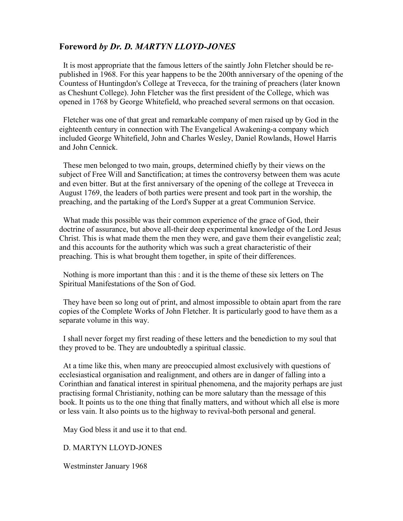# **Foreword** *by Dr. D. MARTYN LLOYD-JONES*

It is most appropriate that the famous letters of the saintly John Fletcher should be republished in 1968. For this year happens to be the 200th anniversary of the opening of the Countess of Huntingdon's College at Trevecca, for the training of preachers (later known as Cheshunt College). John Fletcher was the first president of the College, which was opened in 1768 by George Whitefield, who preached several sermons on that occasion.

Fletcher was one of that great and remarkable company of men raised up by God in the eighteenth century in connection with The Evangelical Awakening-a company which included George Whitefield, John and Charles Wesley, Daniel Rowlands, Howel Harris and John Cennick.

These men belonged to two main, groups, determined chiefly by their views on the subject of Free Will and Sanctification; at times the controversy between them was acute and even bitter. But at the first anniversary of the opening of the college at Trevecca in August 1769, the leaders of both parties were present and took part in the worship, the preaching, and the partaking of the Lord's Supper at a great Communion Service.

What made this possible was their common experience of the grace of God, their doctrine of assurance, but above all-their deep experimental knowledge of the Lord Jesus Christ. This is what made them the men they were, and gave them their evangelistic zeal; and this accounts for the authority which was such a great characteristic of their preaching. This is what brought them together, in spite of their differences.

Nothing is more important than this : and it is the theme of these six letters on The Spiritual Manifestations of the Son of God.

They have been so long out of print, and almost impossible to obtain apart from the rare copies of the Complete Works of John Fletcher. It is particularly good to have them as a separate volume in this way.

I shall never forget my first reading of these letters and the benediction to my soul that they proved to be. They are undoubtedly a spiritual classic.

At a time like this, when many are preoccupied almost exclusively with questions of ecclesiastical organisation and realignment, and others are in danger of falling into a Corinthian and fanatical interest in spiritual phenomena, and the majority perhaps are just practising formal Christianity, nothing can be more salutary than the message of this book. It points us to the one thing that finally matters, and without which all else is more or less vain. It also points us to the highway to revival-both personal and general.

May God bless it and use it to that end.

## D. MARTYN LLOYD-JONES

Westminster January 1968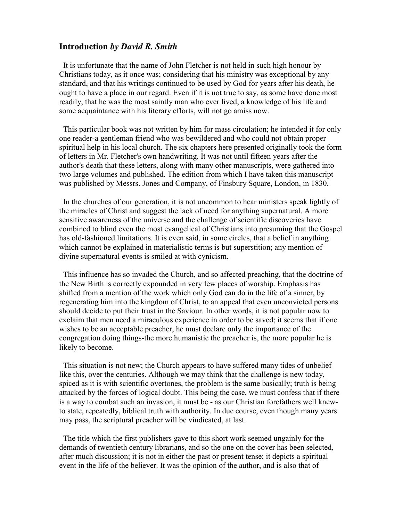## **Introduction** *by David R. Smith*

It is unfortunate that the name of John Fletcher is not held in such high honour by Christians today, as it once was; considering that his ministry was exceptional by any standard, and that his writings continued to be used by God for years after his death, he ought to have a place in our regard. Even if it is not true to say, as some have done most readily, that he was the most saintly man who ever lived, a knowledge of his life and some acquaintance with his literary efforts, will not go amiss now.

This particular book was not written by him for mass circulation; he intended it for only one reader-a gentleman friend who was bewildered and who could not obtain proper spiritual help in his local church. The six chapters here presented originally took the form of letters in Mr. Fletcher's own handwriting. It was not until fifteen years after the author's death that these letters, along with many other manuscripts, were gathered into two large volumes and published. The edition from which I have taken this manuscript was published by Messrs. Jones and Company, of Finsbury Square, London, in 1830.

In the churches of our generation, it is not uncommon to hear ministers speak lightly of the miracles of Christ and suggest the lack of need for anything supernatural. A more sensitive awareness of the universe and the challenge of scientific discoveries have combined to blind even the most evangelical of Christians into presuming that the Gospel has old-fashioned limitations. It is even said, in some circles, that a belief in anything which cannot be explained in materialistic terms is but superstition; any mention of divine supernatural events is smiled at with cynicism.

This influence has so invaded the Church, and so affected preaching, that the doctrine of the New Birth is correctly expounded in very few places of worship. Emphasis has shifted from a mention of the work which only God can do in the life of a sinner, by regenerating him into the kingdom of Christ, to an appeal that even unconvicted persons should decide to put their trust in the Saviour. In other words, it is not popular now to exclaim that men need a miraculous experience in order to be saved; it seems that if one wishes to be an acceptable preacher, he must declare only the importance of the congregation doing things-the more humanistic the preacher is, the more popular he is likely to become.

This situation is not new; the Church appears to have suffered many tides of unbelief like this, over the centuries. Although we may think that the challenge is new today, spiced as it is with scientific overtones, the problem is the same basically; truth is being attacked by the forces of logical doubt. This being the case, we must confess that if there is a way to combat such an invasion, it must be - as our Christian forefathers well knewto state, repeatedly, biblical truth with authority. In due course, even though many years may pass, the scriptural preacher will be vindicated, at last.

The title which the first publishers gave to this short work seemed ungainly for the demands of twentieth century librarians, and so the one on the cover has been selected, after much discussion; it is not in either the past or present tense; it depicts a spiritual event in the life of the believer. It was the opinion of the author, and is also that of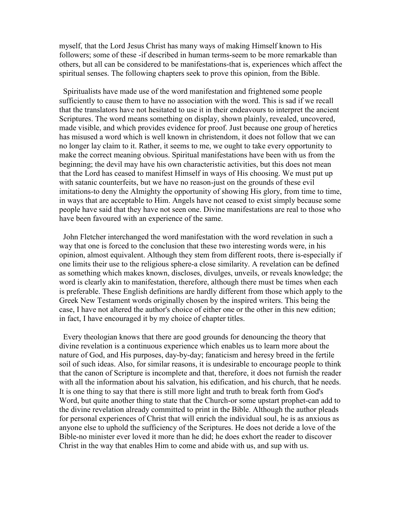myself, that the Lord Jesus Christ has many ways of making Himself known to His followers; some of these -if described in human terms-seem to be more remarkable than others, but all can be considered to be manifestations-that is, experiences which affect the spiritual senses. The following chapters seek to prove this opinion, from the Bible.

Spiritualists have made use of the word manifestation and frightened some people sufficiently to cause them to have no association with the word. This is sad if we recall that the translators have not hesitated to use it in their endeavours to interpret the ancient Scriptures. The word means something on display, shown plainly, revealed, uncovered, made visible, and which provides evidence for proof. Just because one group of heretics has misused a word which is well known in christendom, it does not follow that we can no longer lay claim to it. Rather, it seems to me, we ought to take every opportunity to make the correct meaning obvious. Spiritual manifestations have been with us from the beginning; the devil may have his own characteristic activities, but this does not mean that the Lord has ceased to manifest Himself in ways of His choosing. We must put up with satanic counterfeits, but we have no reason-just on the grounds of these evil imitations-to deny the Almighty the opportunity of showing His glory, from time to time, in ways that are acceptable to Him. Angels have not ceased to exist simply because some people have said that they have not seen one. Divine manifestations are real to those who have been favoured with an experience of the same.

John Fletcher interchanged the word manifestation with the word revelation in such a way that one is forced to the conclusion that these two interesting words were, in his opinion, almost equivalent. Although they stem from different roots, there is-especially if one limits their use to the religious sphere-a close similarity. A revelation can be defined as something which makes known, discloses, divulges, unveils, or reveals knowledge; the word is clearly akin to manifestation, therefore, although there must be times when each is preferable. These English definitions are hardly different from those which apply to the Greek New Testament words originally chosen by the inspired writers. This being the case, I have not altered the author's choice of either one or the other in this new edition; in fact, I have encouraged it by my choice of chapter titles.

Every theologian knows that there are good grounds for denouncing the theory that divine revelation is a continuous experience which enables us to learn more about the nature of God, and His purposes, day-by-day; fanaticism and heresy breed in the fertile soil of such ideas. Also, for similar reasons, it is undesirable to encourage people to think that the canon of Scripture is incomplete and that, therefore, it does not furnish the reader with all the information about his salvation, his edification, and his church, that he needs. It is one thing to say that there is still more light and truth to break forth from God's Word, but quite another thing to state that the Church-or some upstart prophet-can add to the divine revelation already committed to print in the Bible. Although the author pleads for personal experiences of Christ that will enrich the individual soul, he is as anxious as anyone else to uphold the sufficiency of the Scriptures. He does not deride a love of the Bible-no minister ever loved it more than he did; he does exhort the reader to discover Christ in the way that enables Him to come and abide with us, and sup with us.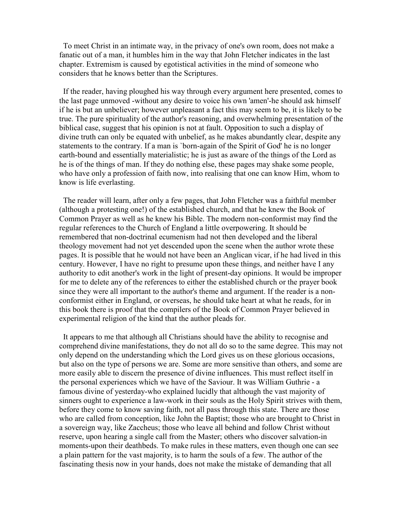To meet Christ in an intimate way, in the privacy of one's own room, does not make a fanatic out of a man, it humbles him in the way that John Fletcher indicates in the last chapter. Extremism is caused by egotistical activities in the mind of someone who considers that he knows better than the Scriptures.

If the reader, having ploughed his way through every argument here presented, comes to the last page unmoved -without any desire to voice his own 'amen'-he should ask himself if he is but an unbeliever; however unpleasant a fact this may seem to be, it is likely to be true. The pure spirituality of the author's reasoning, and overwhelming presentation of the biblical case, suggest that his opinion is not at fault. Opposition to such a display of divine truth can only be equated with unbelief, as he makes abundantly clear, despite any statements to the contrary. If a man is `born-again of the Spirit of God' he is no longer earth-bound and essentially materialistic; he is just as aware of the things of the Lord as he is of the things of man. If they do nothing else, these pages may shake some people, who have only a profession of faith now, into realising that one can know Him, whom to know is life everlasting.

The reader will learn, after only a few pages, that John Fletcher was a faithful member (although a protesting one!) of the established church, and that he knew the Book of Common Prayer as well as he knew his Bible. The modern non-conformist may find the regular references to the Church of England a little overpowering. It should be remembered that non-doctrinal ecumenism had not then developed and the liberal theology movement had not yet descended upon the scene when the author wrote these pages. It is possible that he would not have been an Anglican vicar, if he had lived in this century. However, I have no right to presume upon these things, and neither have I any authority to edit another's work in the light of present-day opinions. It would be improper for me to delete any of the references to either the established church or the prayer book since they were all important to the author's theme and argument. If the reader is a nonconformist either in England, or overseas, he should take heart at what he reads, for in this book there is proof that the compilers of the Book of Common Prayer believed in experimental religion of the kind that the author pleads for.

It appears to me that although all Christians should have the ability to recognise and comprehend divine manifestations, they do not all do so to the same degree. This may not only depend on the understanding which the Lord gives us on these glorious occasions, but also on the type of persons we are. Some are more sensitive than others, and some are more easily able to discern the presence of divine influences. This must reflect itself in the personal experiences which we have of the Saviour. It was William Guthrie - a famous divine of yesterday-who explained lucidly that although the vast majority of sinners ought to experience a law-work in their souls as the Holy Spirit strives with them, before they come to know saving faith, not all pass through this state. There are those who are called from conception, like John the Baptist; those who are brought to Christ in a sovereign way, like Zaccheus; those who leave all behind and follow Christ without reserve, upon hearing a single call from the Master; others who discover salvation-in moments-upon their deathbeds. To make rules in these matters, even though one can see a plain pattern for the vast majority, is to harm the souls of a few. The author of the fascinating thesis now in your hands, does not make the mistake of demanding that all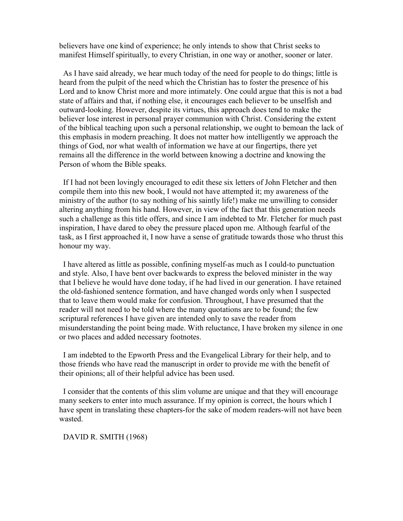believers have one kind of experience; he only intends to show that Christ seeks to manifest Himself spiritually, to every Christian, in one way or another, sooner or later.

As I have said already, we hear much today of the need for people to do things; little is heard from the pulpit of the need which the Christian has to foster the presence of his Lord and to know Christ more and more intimately. One could argue that this is not a bad state of affairs and that, if nothing else, it encourages each believer to be unselfish and outward-looking. However, despite its virtues, this approach does tend to make the believer lose interest in personal prayer communion with Christ. Considering the extent of the biblical teaching upon such a personal relationship, we ought to bemoan the lack of this emphasis in modern preaching. It does not matter how intelligently we approach the things of God, nor what wealth of information we have at our fingertips, there yet remains all the difference in the world between knowing a doctrine and knowing the Person of whom the Bible speaks.

If I had not been lovingly encouraged to edit these six letters of John Fletcher and then compile them into this new book, I would not have attempted it; my awareness of the ministry of the author (to say nothing of his saintly life!) make me unwilling to consider altering anything from his hand. However, in view of the fact that this generation needs such a challenge as this title offers, and since I am indebted to Mr. Fletcher for much past inspiration, I have dared to obey the pressure placed upon me. Although fearful of the task, as I first approached it, I now have a sense of gratitude towards those who thrust this honour my way.

I have altered as little as possible, confining myself-as much as I could-to punctuation and style. Also, I have bent over backwards to express the beloved minister in the way that I believe he would have done today, if he had lived in our generation. I have retained the old-fashioned sentence formation, and have changed words only when I suspected that to leave them would make for confusion. Throughout, I have presumed that the reader will not need to be told where the many quotations are to be found; the few scriptural references I have given are intended only to save the reader from misunderstanding the point being made. With reluctance, I have broken my silence in one or two places and added necessary footnotes.

I am indebted to the Epworth Press and the Evangelical Library for their help, and to those friends who have read the manuscript in order to provide me with the benefit of their opinions; all of their helpful advice has been used.

I consider that the contents of this slim volume are unique and that they will encourage many seekers to enter into much assurance. If my opinion is correct, the hours which I have spent in translating these chapters-for the sake of modem readers-will not have been wasted.

## DAVID R. SMITH (1968)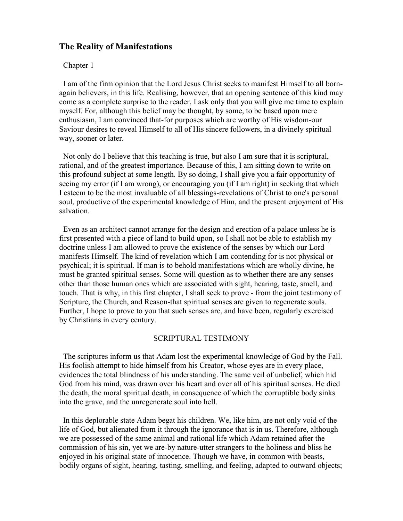# **The Reality of Manifestations**

## Chapter 1

I am of the firm opinion that the Lord Jesus Christ seeks to manifest Himself to all bornagain believers, in this life. Realising, however, that an opening sentence of this kind may come as a complete surprise to the reader, I ask only that you will give me time to explain myself. For, although this belief may be thought, by some, to be based upon mere enthusiasm, I am convinced that-for purposes which are worthy of His wisdom-our Saviour desires to reveal Himself to all of His sincere followers, in a divinely spiritual way, sooner or later.

Not only do I believe that this teaching is true, but also I am sure that it is scriptural, rational, and of the greatest importance. Because of this, I am sitting down to write on this profound subject at some length. By so doing, I shall give you a fair opportunity of seeing my error (if I am wrong), or encouraging you (if I am right) in seeking that which I esteem to be the most invaluable of all blessings-revelations of Christ to one's personal soul, productive of the experimental knowledge of Him, and the present enjoyment of His salvation.

Even as an architect cannot arrange for the design and erection of a palace unless he is first presented with a piece of land to build upon, so I shall not be able to establish my doctrine unless I am allowed to prove the existence of the senses by which our Lord manifests Himself. The kind of revelation which I am contending for is not physical or psychical; it is spiritual. If man is to behold manifestations which are wholly divine, he must be granted spiritual senses. Some will question as to whether there are any senses other than those human ones which are associated with sight, hearing, taste, smell, and touch. That is why, in this first chapter, I shall seek to prove - from the joint testimony of Scripture, the Church, and Reason-that spiritual senses are given to regenerate souls. Further, I hope to prove to you that such senses are, and have been, regularly exercised by Christians in every century.

## SCRIPTURAL TESTIMONY

The scriptures inform us that Adam lost the experimental knowledge of God by the Fall. His foolish attempt to hide himself from his Creator, whose eyes are in every place, evidences the total blindness of his understanding. The same veil of unbelief, which hid God from his mind, was drawn over his heart and over all of his spiritual senses. He died the death, the moral spiritual death, in consequence of which the corruptible body sinks into the grave, and the unregenerate soul into hell.

In this deplorable state Adam begat his children. We, like him, are not only void of the life of God, but alienated from it through the ignorance that is in us. Therefore, although we are possessed of the same animal and rational life which Adam retained after the commission of his sin, yet we are-by nature-utter strangers to the holiness and bliss he enjoyed in his original state of innocence. Though we have, in common with beasts, bodily organs of sight, hearing, tasting, smelling, and feeling, adapted to outward objects;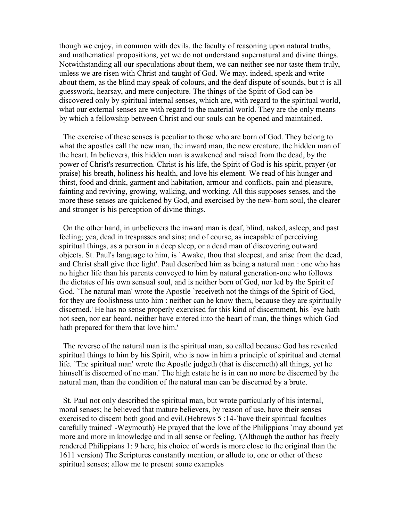though we enjoy, in common with devils, the faculty of reasoning upon natural truths, and mathematical propositions, yet we do not understand supernatural and divine things. Notwithstanding all our speculations about them, we can neither see nor taste them truly, unless we are risen with Christ and taught of God. We may, indeed, speak and write about them, as the blind may speak of colours, and the deaf dispute of sounds, but it is all guesswork, hearsay, and mere conjecture. The things of the Spirit of God can be discovered only by spiritual internal senses, which are, with regard to the spiritual world, what our external senses are with regard to the material world. They are the only means by which a fellowship between Christ and our souls can be opened and maintained.

The exercise of these senses is peculiar to those who are born of God. They belong to what the apostles call the new man, the inward man, the new creature, the hidden man of the heart. In believers, this hidden man is awakened and raised from the dead, by the power of Christ's resurrection. Christ is his life, the Spirit of God is his spirit, prayer (or praise) his breath, holiness his health, and love his element. We read of his hunger and thirst, food and drink, garment and habitation, armour and conflicts, pain and pleasure, fainting and reviving, growing, walking, and working. All this supposes senses, and the more these senses are quickened by God, and exercised by the new-born soul, the clearer and stronger is his perception of divine things.

On the other hand, in unbelievers the inward man is deaf, blind, naked, asleep, and past feeling; yea, dead in trespasses and sins; and of course, as incapable of perceiving spiritual things, as a person in a deep sleep, or a dead man of discovering outward objects. St. Paul's language to him, is `Awake, thou that sleepest, and arise from the dead, and Christ shall give thee light'. Paul described him as being a natural man : one who has no higher life than his parents conveyed to him by natural generation-one who follows the dictates of his own sensual soul, and is neither born of God, nor led by the Spirit of God. 'The natural man' wrote the Apostle 'receiveth not the things of the Spirit of God, for they are foolishness unto him : neither can he know them, because they are spiritually discerned.' He has no sense properly exercised for this kind of discernment, his `eye hath not seen, nor ear heard, neither have entered into the heart of man, the things which God hath prepared for them that love him.'

The reverse of the natural man is the spiritual man, so called because God has revealed spiritual things to him by his Spirit, who is now in him a principle of spiritual and eternal life. `The spiritual man' wrote the Apostle judgeth (that is discerneth) all things, yet he himself is discerned of no man.' The high estate he is in can no more be discerned by the natural man, than the condition of the natural man can be discerned by a brute.

St. Paul not only described the spiritual man, but wrote particularly of his internal, moral senses; he believed that mature believers, by reason of use, have their senses exercised to discern both good and evil.(Hebrews 5 :14-`have their spiritual faculties carefully trained' -Weymouth) He prayed that the love of the Philippians `may abound yet more and more in knowledge and in all sense or feeling. '(Although the author has freely rendered Philippians 1: 9 here, his choice of words is more close to the original than the 1611 version) The Scriptures constantly mention, or allude to, one or other of these spiritual senses; allow me to present some examples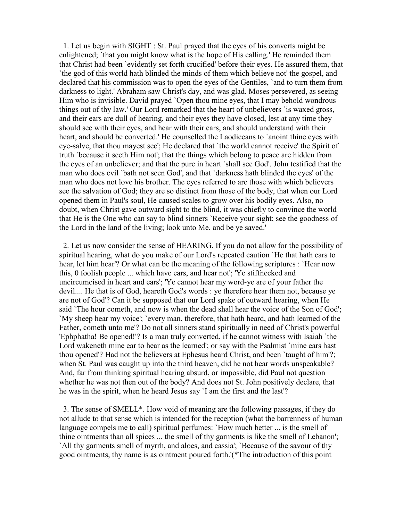1. Let us begin with SIGHT : St. Paul prayed that the eyes of his converts might be enlightened; `that you might know what is the hope of His calling.' He reminded them that Christ had been `evidently set forth crucified' before their eyes. He assured them, that `the god of this world hath blinded the minds of them which believe not' the gospel, and declared that his commission was to open the eyes of the Gentiles, `and to turn them from darkness to light.' Abraham saw Christ's day, and was glad. Moses persevered, as seeing Him who is invisible. David prayed `Open thou mine eyes, that I may behold wondrous things out of thy law.' Our Lord remarked that the heart of unbelievers 'is waxed gross, and their ears are dull of hearing, and their eyes they have closed, lest at any time they should see with their eyes, and hear with their ears, and should understand with their heart, and should be converted.' He counselled the Laodiceans to `anoint thine eyes with eye-salve, that thou mayest see'; He declared that `the world cannot receive' the Spirit of truth `because it seeth Him not'; that the things which belong to peace are hidden from the eyes of an unbeliever; and that the pure in heart `shall see God'. John testified that the man who does evil `bath not seen God', and that `darkness hath blinded the eyes' of the man who does not love his brother. The eyes referred to are those with which believers see the salvation of God; they are so distinct from those of the body, that when our Lord opened them in Paul's soul, He caused scales to grow over his bodily eyes. Also, no doubt, when Christ gave outward sight to the blind, it was chiefly to convince the world that He is the One who can say to blind sinners `Receive your sight; see the goodness of the Lord in the land of the living; look unto Me, and be ye saved.'

2. Let us now consider the sense of HEARING. If you do not allow for the possibility of spiritual hearing, what do you make of our Lord's repeated caution `He that hath ears to hear, let him hear'? Or what can be the meaning of the following scriptures : `Hear now this, 0 foolish people ... which have ears, and hear not'; 'Ye stiffnecked and uncircumcised in heart and ears'; 'Ye cannot hear my word-ye are of your father the devil.... He that is of God, heareth God's words : ye therefore hear them not, because ye are not of God'? Can it be supposed that our Lord spake of outward hearing, when He said `The hour cometh, and now is when the dead shall hear the voice of the Son of God'; `My sheep hear my voice'; `every man, therefore, that hath heard, and hath learned of the Father, cometh unto me'? Do not all sinners stand spiritually in need of Christ's powerful 'Ephphatha! Be opened!'? Is a man truly converted, if he cannot witness with Isaiah `the Lord wakeneth mine ear to hear as the learned'; or say with the Psalmist `mine ears hast thou opened'? Had not the believers at Ephesus heard Christ, and been `taught of him'?; when St. Paul was caught up into the third heaven, did he not hear words unspeakable? And, far from thinking spiritual hearing absurd, or impossible, did Paul not question whether he was not then out of the body? And does not St. John positively declare, that he was in the spirit, when he heard Jesus say `I am the first and the last'?

3. The sense of SMELL\*. How void of meaning are the following passages, if they do not allude to that sense which is intended for the reception (what the barrenness of human language compels me to call) spiritual perfumes: `How much better ... is the smell of thine ointments than all spices ... the smell of thy garments is like the smell of Lebanon'; `All thy garments smell of myrrh, and aloes, and cassia'; `Because of the savour of thy good ointments, thy name is as ointment poured forth.'(\*The introduction of this point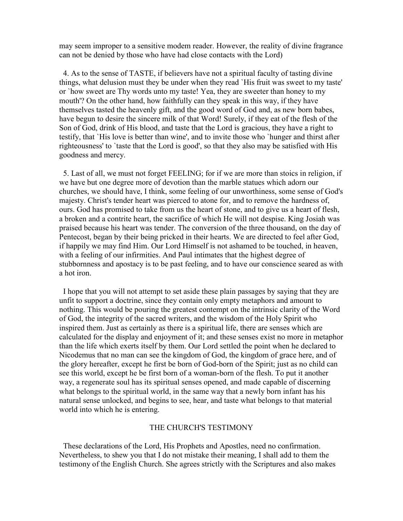may seem improper to a sensitive modem reader. However, the reality of divine fragrance can not be denied by those who have had close contacts with the Lord)

4. As to the sense of TASTE, if believers have not a spiritual faculty of tasting divine things, what delusion must they be under when they read `His fruit was sweet to my taste' or `how sweet are Thy words unto my taste! Yea, they are sweeter than honey to my mouth'? On the other hand, how faithfully can they speak in this way, if they have themselves tasted the heavenly gift, and the good word of God and, as new born babes, have begun to desire the sincere milk of that Word! Surely, if they eat of the flesh of the Son of God, drink of His blood, and taste that the Lord is gracious, they have a right to testify, that `His love is better than wine', and to invite those who `hunger and thirst after righteousness' to `taste that the Lord is good', so that they also may be satisfied with His goodness and mercy.

5. Last of all, we must not forget FEELING; for if we are more than stoics in religion, if we have but one degree more of devotion than the marble statues which adorn our churches, we should have, I think, some feeling of our unworthiness, some sense of God's majesty. Christ's tender heart was pierced to atone for, and to remove the hardness of, ours. God has promised to take from us the heart of stone, and to give us a heart of flesh, a broken and a contrite heart, the sacrifice of which He will not despise. King Josiah was praised because his heart was tender. The conversion of the three thousand, on the day of Pentecost, began by their being pricked in their hearts. We are directed to feel after God, if happily we may find Him. Our Lord Himself is not ashamed to be touched, in heaven, with a feeling of our infirmities. And Paul intimates that the highest degree of stubbornness and apostacy is to be past feeling, and to have our conscience seared as with a hot iron.

I hope that you will not attempt to set aside these plain passages by saying that they are unfit to support a doctrine, since they contain only empty metaphors and amount to nothing. This would be pouring the greatest contempt on the intrinsic clarity of the Word of God, the integrity of the sacred writers, and the wisdom of the Holy Spirit who inspired them. Just as certainly as there is a spiritual life, there are senses which are calculated for the display and enjoyment of it; and these senses exist no more in metaphor than the life which exerts itself by them. Our Lord settled the point when he declared to Nicodemus that no man can see the kingdom of God, the kingdom of grace here, and of the glory hereafter, except he first be born of God-born of the Spirit; just as no child can see this world, except he be first born of a woman-born of the flesh. To put it another way, a regenerate soul has its spiritual senses opened, and made capable of discerning what belongs to the spiritual world, in the same way that a newly born infant has his natural sense unlocked, and begins to see, hear, and taste what belongs to that material world into which he is entering.

## THE CHURCH'S TESTIMONY

These declarations of the Lord, His Prophets and Apostles, need no confirmation. Nevertheless, to shew you that I do not mistake their meaning, I shall add to them the testimony of the English Church. She agrees strictly with the Scriptures and also makes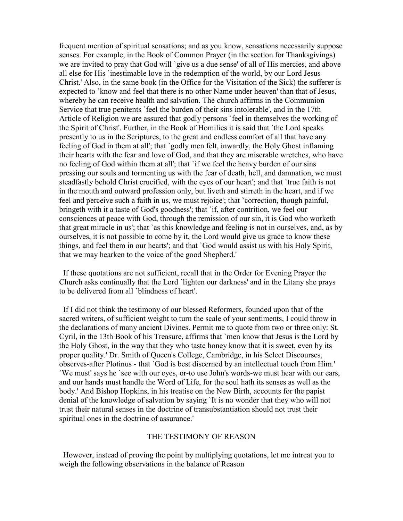frequent mention of spiritual sensations; and as you know, sensations necessarily suppose senses. For example, in the Book of Common Prayer (in the section for Thanksgivings) we are invited to pray that God will `give us a due sense' of all of His mercies, and above all else for His `inestimable love in the redemption of the world, by our Lord Jesus Christ.' Also, in the same book (in the Office for the Visitation of the Sick) the sufferer is expected to `know and feel that there is no other Name under heaven' than that of Jesus, whereby he can receive health and salvation. The church affirms in the Communion Service that true penitents `feel the burden of their sins intolerable', and in the 17th Article of Religion we are assured that godly persons `feel in themselves the working of the Spirit of Christ'. Further, in the Book of Homilies it is said that `the Lord speaks presently to us in the Scriptures, to the great and endless comfort of all that have any feeling of God in them at all'; that `godly men felt, inwardly, the Holy Ghost inflaming their hearts with the fear and love of God, and that they are miserable wretches, who have no feeling of God within them at all'; that `if we feel the heavy burden of our sins pressing our souls and tormenting us with the fear of death, hell, and damnation, we must steadfastly behold Christ crucified, with the eyes of our heart'; and that `true faith is not in the mouth and outward profession only, but liveth and stirreth in the heart, and if we feel and perceive such a faith in us, we must rejoice'; that 'correction, though painful, bringeth with it a taste of God's goodness'; that `if, after contrition, we feel our consciences at peace with God, through the remission of our sin, it is God who worketh that great miracle in us'; that `as this knowledge and feeling is not in ourselves, and, as by ourselves, it is not possible to come by it, the Lord would give us grace to know these things, and feel them in our hearts'; and that `God would assist us with his Holy Spirit, that we may hearken to the voice of the good Shepherd.'

If these quotations are not sufficient, recall that in the Order for Evening Prayer the Church asks continually that the Lord `lighten our darkness' and in the Litany she prays to be delivered from all `blindness of heart'.

If I did not think the testimony of our blessed Reformers, founded upon that of the sacred writers, of sufficient weight to turn the scale of your sentiments, I could throw in the declarations of many ancient Divines. Permit me to quote from two or three only: St. Cyril, in the 13th Book of his Treasure, affirms that `men know that Jesus is the Lord by the Holy Ghost, in the way that they who taste honey know that it is sweet, even by its proper quality.' Dr. Smith of Queen's College, Cambridge, in his Select Discourses, observes-after Plotinus - that `God is best discerned by an intellectual touch from Him.' `We must' says he `see with our eyes, or-to use John's words-we must hear with our ears, and our hands must handle the Word of Life, for the soul hath its senses as well as the body.' And Bishop Hopkins, in his treatise on the New Birth, accounts for the papist denial of the knowledge of salvation by saying `It is no wonder that they who will not trust their natural senses in the doctrine of transubstantiation should not trust their spiritual ones in the doctrine of assurance.'

## THE TESTIMONY OF REASON

However, instead of proving the point by multiplying quotations, let me intreat you to weigh the following observations in the balance of Reason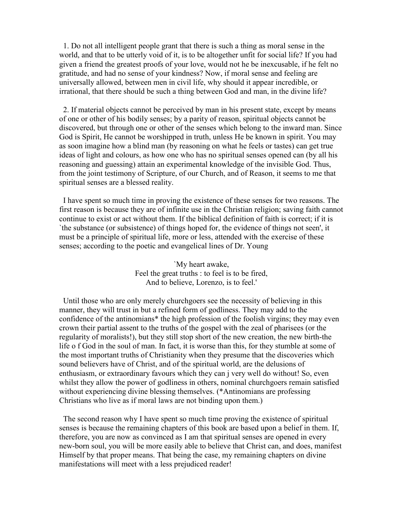1. Do not all intelligent people grant that there is such a thing as moral sense in the world, and that to be utterly void of it, is to be altogether unfit for social life? If you had given a friend the greatest proofs of your love, would not he be inexcusable, if he felt no gratitude, and had no sense of your kindness? Now, if moral sense and feeling are universally allowed, between men in civil life, why should it appear incredible, or irrational, that there should be such a thing between God and man, in the divine life?

2. If material objects cannot be perceived by man in his present state, except by means of one or other of his bodily senses; by a parity of reason, spiritual objects cannot be discovered, but through one or other of the senses which belong to the inward man. Since God is Spirit, He cannot be worshipped in truth, unless He be known in spirit. You may as soon imagine how a blind man (by reasoning on what he feels or tastes) can get true ideas of light and colours, as how one who has no spiritual senses opened can (by all his reasoning and guessing) attain an experimental knowledge of the invisible God. Thus, from the joint testimony of Scripture, of our Church, and of Reason, it seems to me that spiritual senses are a blessed reality.

I have spent so much time in proving the existence of these senses for two reasons. The first reason is because they are of infinite use in the Christian religion; saving faith cannot continue to exist or act without them. If the biblical definition of faith is correct; if it is `the substance (or subsistence) of things hoped for, the evidence of things not seen', it must be a principle of spiritual life, more or less, attended with the exercise of these senses; according to the poetic and evangelical lines of Dr. Young

> `My heart awake, Feel the great truths : to feel is to be fired, And to believe, Lorenzo, is to feel.'

Until those who are only merely churchgoers see the necessity of believing in this manner, they will trust in but a refined form of godliness. They may add to the confidence of the antinomians\* the high profession of the foolish virgins; they may even crown their partial assent to the truths of the gospel with the zeal of pharisees (or the regularity of moralists!), but they still stop short of the new creation, the new birth-the life o f God in the soul of man. In fact, it is worse than this, for they stumble at some of the most important truths of Christianity when they presume that the discoveries which sound believers have of Christ, and of the spiritual world, are the delusions of enthusiasm, or extraordinary favours which they can j very well do without! So, even whilst they allow the power of godliness in others, nominal churchgoers remain satisfied without experiencing divine blessing themselves. (\*Antinomians are professing Christians who live as if moral laws are not binding upon them.)

The second reason why I have spent so much time proving the existence of spiritual senses is because the remaining chapters of this book are based upon a belief in them. If, therefore, you are now as convinced as I am that spiritual senses are opened in every new-born soul, you will be more easily able to believe that Christ can, and does, manifest Himself by that proper means. That being the case, my remaining chapters on divine manifestations will meet with a less prejudiced reader!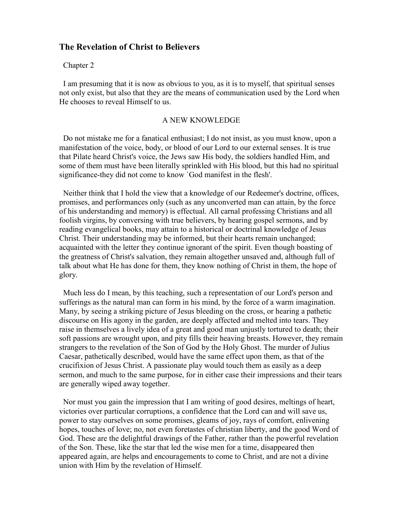# **The Revelation of Christ to Believers**

## Chapter 2

I am presuming that it is now as obvious to you, as it is to myself, that spiritual senses not only exist, but also that they are the means of communication used by the Lord when He chooses to reveal Himself to us.

## A NEW KNOWLEDGE

Do not mistake me for a fanatical enthusiast; I do not insist, as you must know, upon a manifestation of the voice, body, or blood of our Lord to our external senses. It is true that Pilate heard Christ's voice, the Jews saw His body, the soldiers handled Him, and some of them must have been literally sprinkled with His blood, but this had no spiritual significance-they did not come to know `God manifest in the flesh'.

Neither think that I hold the view that a knowledge of our Redeemer's doctrine, offices, promises, and performances only (such as any unconverted man can attain, by the force of his understanding and memory) is effectual. All carnal professing Christians and all foolish virgins, by conversing with true believers, by hearing gospel sermons, and by reading evangelical books, may attain to a historical or doctrinal knowledge of Jesus Christ. Their understanding may be informed, but their hearts remain unchanged; acquainted with the letter they continue ignorant of the spirit. Even though boasting of the greatness of Christ's salvation, they remain altogether unsaved and, although full of talk about what He has done for them, they know nothing of Christ in them, the hope of glory.

Much less do I mean, by this teaching, such a representation of our Lord's person and sufferings as the natural man can form in his mind, by the force of a warm imagination. Many, by seeing a striking picture of Jesus bleeding on the cross, or hearing a pathetic discourse on His agony in the garden, are deeply affected and melted into tears. They raise in themselves a lively idea of a great and good man unjustly tortured to death; their soft passions are wrought upon, and pity fills their heaving breasts. However, they remain strangers to the revelation of the Son of God by the Holy Ghost. The murder of Julius Caesar, pathetically described, would have the same effect upon them, as that of the crucifixion of Jesus Christ. A passionate play would touch them as easily as a deep sermon, and much to the same purpose, for in either case their impressions and their tears are generally wiped away together.

Nor must you gain the impression that I am writing of good desires, meltings of heart, victories over particular corruptions, a confidence that the Lord can and will save us, power to stay ourselves on some promises, gleams of joy, rays of comfort, enlivening hopes, touches of love; no, not even foretastes of christian liberty, and the good Word of God. These are the delightful drawings of the Father, rather than the powerful revelation of the Son. These, like the star that led the wise men for a time, disappeared then appeared again, are helps and encouragements to come to Christ, and are not a divine union with Him by the revelation of Himself.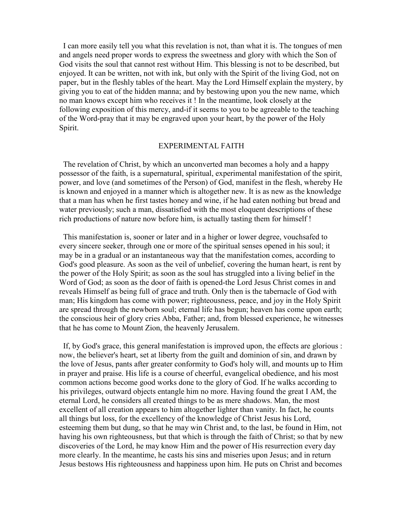I can more easily tell you what this revelation is not, than what it is. The tongues of men and angels need proper words to express the sweetness and glory with which the Son of God visits the soul that cannot rest without Him. This blessing is not to be described, but enjoyed. It can be written, not with ink, but only with the Spirit of the living God, not on paper, but in the fleshly tables of the heart. May the Lord Himself explain the mystery, by giving you to eat of the hidden manna; and by bestowing upon you the new name, which no man knows except him who receives it ! In the meantime, look closely at the following exposition of this mercy, and-if it seems to you to be agreeable to the teaching of the Word-pray that it may be engraved upon your heart, by the power of the Holy Spirit.

#### EXPERIMENTAL FAITH

The revelation of Christ, by which an unconverted man becomes a holy and a happy possessor of the faith, is a supernatural, spiritual, experimental manifestation of the spirit, power, and love (and sometimes of the Person) of God, manifest in the flesh, whereby He is known and enjoyed in a manner which is altogether new. It is as new as the knowledge that a man has when he first tastes honey and wine, if he had eaten nothing but bread and water previously; such a man, dissatisfied with the most eloquent descriptions of these rich productions of nature now before him, is actually tasting them for himself !

This manifestation is, sooner or later and in a higher or lower degree, vouchsafed to every sincere seeker, through one or more of the spiritual senses opened in his soul; it may be in a gradual or an instantaneous way that the manifestation comes, according to God's good pleasure. As soon as the veil of unbelief, covering the human heart, is rent by the power of the Holy Spirit; as soon as the soul has struggled into a living belief in the Word of God; as soon as the door of faith is opened-the Lord Jesus Christ comes in and reveals Himself as being full of grace and truth. Only then is the tabernacle of God with man; His kingdom has come with power; righteousness, peace, and joy in the Holy Spirit are spread through the newborn soul; eternal life has begun; heaven has come upon earth; the conscious heir of glory cries Abba, Father; and, from blessed experience, he witnesses that he has come to Mount Zion, the heavenly Jerusalem.

If, by God's grace, this general manifestation is improved upon, the effects are glorious : now, the believer's heart, set at liberty from the guilt and dominion of sin, and drawn by the love of Jesus, pants after greater conformity to God's holy will, and mounts up to Him in prayer and praise. His life is a course of cheerful, evangelical obedience, and his most common actions become good works done to the glory of God. If he walks according to his privileges, outward objects entangle him no more. Having found the great I AM, the eternal Lord, he considers all created things to be as mere shadows. Man, the most excellent of all creation appears to him altogether lighter than vanity. In fact, he counts all things but loss, for the excellency of the knowledge of Christ Jesus his Lord, esteeming them but dung, so that he may win Christ and, to the last, be found in Him, not having his own righteousness, but that which is through the faith of Christ; so that by new discoveries of the Lord, he may know Him and the power of His resurrection every day more clearly. In the meantime, he casts his sins and miseries upon Jesus; and in return Jesus bestows His righteousness and happiness upon him. He puts on Christ and becomes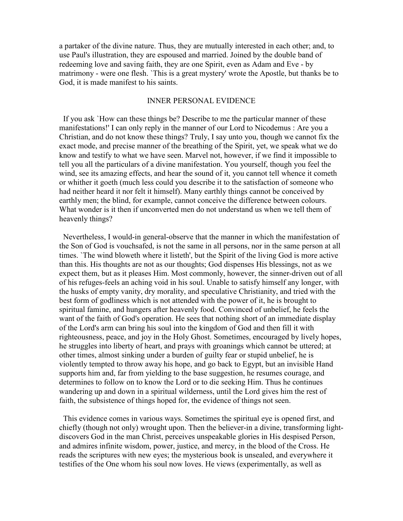a partaker of the divine nature. Thus, they are mutually interested in each other; and, to use Paul's illustration, they are espoused and married. Joined by the double band of redeeming love and saving faith, they are one Spirit, even as Adam and Eve - by matrimony - were one flesh. `This is a great mystery' wrote the Apostle, but thanks be to God, it is made manifest to his saints.

#### INNER PERSONAL EVIDENCE

If you ask `How can these things be? Describe to me the particular manner of these manifestations!' I can only reply in the manner of our Lord to Nicodemus : Are you a Christian, and do not know these things? Truly, I say unto you, though we cannot fix the exact mode, and precise manner of the breathing of the Spirit, yet, we speak what we do know and testify to what we have seen. Marvel not, however, if we find it impossible to tell you all the particulars of a divine manifestation. You yourself, though you feel the wind, see its amazing effects, and hear the sound of it, you cannot tell whence it cometh or whither it goeth (much less could you describe it to the satisfaction of someone who had neither heard it nor felt it himself). Many earthly things cannot be conceived by earthly men; the blind, for example, cannot conceive the difference between colours. What wonder is it then if unconverted men do not understand us when we tell them of heavenly things?

Nevertheless, I would-in general-observe that the manner in which the manifestation of the Son of God is vouchsafed, is not the same in all persons, nor in the same person at all times. `The wind bloweth where it listeth', but the Spirit of the living God is more active than this. His thoughts are not as our thoughts; God dispenses His blessings, not as we expect them, but as it pleases Him. Most commonly, however, the sinner-driven out of all of his refuges-feels an aching void in his soul. Unable to satisfy himself any longer, with the husks of empty vanity, dry morality, and speculative Christianity, and tried with the best form of godliness which is not attended with the power of it, he is brought to spiritual famine, and hungers after heavenly food. Convinced of unbelief, he feels the want of the faith of God's operation. He sees that nothing short of an immediate display of the Lord's arm can bring his soul into the kingdom of God and then fill it with righteousness, peace, and joy in the Holy Ghost. Sometimes, encouraged by lively hopes, he struggles into liberty of heart, and prays with groanings which cannot be uttered; at other times, almost sinking under a burden of guilty fear or stupid unbelief, he is violently tempted to throw away his hope, and go back to Egypt, but an invisible Hand supports him and, far from yielding to the base suggestion, he resumes courage, and determines to follow on to know the Lord or to die seeking Him. Thus he continues wandering up and down in a spiritual wilderness, until the Lord gives him the rest of faith, the subsistence of things hoped for, the evidence of things not seen.

This evidence comes in various ways. Sometimes the spiritual eye is opened first, and chiefly (though not only) wrought upon. Then the believer-in a divine, transforming lightdiscovers God in the man Christ, perceives unspeakable glories in His despised Person, and admires infinite wisdom, power, justice, and mercy, in the blood of the Cross. He reads the scriptures with new eyes; the mysterious book is unsealed, and everywhere it testifies of the One whom his soul now loves. He views (experimentally, as well as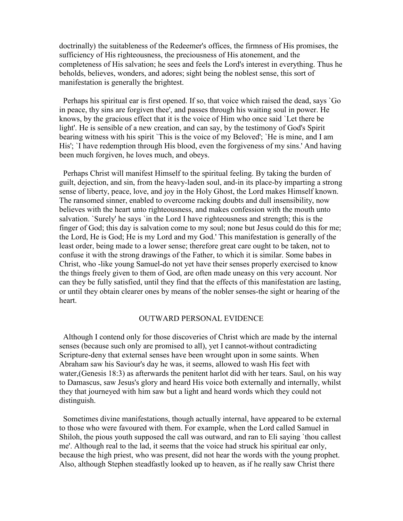doctrinally) the suitableness of the Redeemer's offices, the firmness of His promises, the sufficiency of His righteousness, the preciousness of His atonement, and the completeness of His salvation; he sees and feels the Lord's interest in everything. Thus he beholds, believes, wonders, and adores; sight being the noblest sense, this sort of manifestation is generally the brightest.

Perhaps his spiritual ear is first opened. If so, that voice which raised the dead, says `Go in peace, thy sins are forgiven thee', and passes through his waiting soul in power. He knows, by the gracious effect that it is the voice of Him who once said `Let there be light'. He is sensible of a new creation, and can say, by the testimony of God's Spirit bearing witness with his spirit `This is the voice of my Beloved'; `He is mine, and I am His'; `I have redemption through His blood, even the forgiveness of my sins.' And having been much forgiven, he loves much, and obeys.

Perhaps Christ will manifest Himself to the spiritual feeling. By taking the burden of guilt, dejection, and sin, from the heavy-laden soul, and-in its place-by imparting a strong sense of liberty, peace, love, and joy in the Holy Ghost, the Lord makes Himself known. The ransomed sinner, enabled to overcome racking doubts and dull insensibility, now believes with the heart unto righteousness, and makes confession with the mouth unto salvation. `Surely' he says `in the Lord I have righteousness and strength; this is the finger of God; this day is salvation come to my soul; none but Jesus could do this for me; the Lord, He is God; He is my Lord and my God.' This manifestation is generally of the least order, being made to a lower sense; therefore great care ought to be taken, not to confuse it with the strong drawings of the Father, to which it is similar. Some babes in Christ, who -like young Samuel-do not yet have their senses properly exercised to know the things freely given to them of God, are often made uneasy on this very account. Nor can they be fully satisfied, until they find that the effects of this manifestation are lasting, or until they obtain clearer ones by means of the nobler senses-the sight or hearing of the heart.

### OUTWARD PERSONAL EVIDENCE

Although I contend only for those discoveries of Christ which are made by the internal senses (because such only are promised to all), yet I cannot-without contradicting Scripture-deny that external senses have been wrought upon in some saints. When Abraham saw his Saviour's day he was, it seems, allowed to wash His feet with water,(Genesis 18:3) as afterwards the penitent harlot did with her tears. Saul, on his way to Damascus, saw Jesus's glory and heard His voice both externally and internally, whilst they that journeyed with him saw but a light and heard words which they could not distinguish.

Sometimes divine manifestations, though actually internal, have appeared to be external to those who were favoured with them. For example, when the Lord called Samuel in Shiloh, the pious youth supposed the call was outward, and ran to Eli saying `thou callest me'. Although real to the lad, it seems that the voice had struck his spiritual ear only, because the high priest, who was present, did not hear the words with the young prophet. Also, although Stephen steadfastly looked up to heaven, as if he really saw Christ there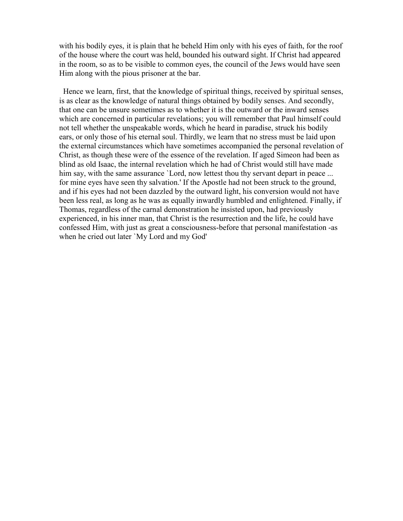with his bodily eyes, it is plain that he beheld Him only with his eyes of faith, for the roof of the house where the court was held, bounded his outward sight. If Christ had appeared in the room, so as to be visible to common eyes, the council of the Jews would have seen Him along with the pious prisoner at the bar.

Hence we learn, first, that the knowledge of spiritual things, received by spiritual senses, is as clear as the knowledge of natural things obtained by bodily senses. And secondly, that one can be unsure sometimes as to whether it is the outward or the inward senses which are concerned in particular revelations; you will remember that Paul himself could not tell whether the unspeakable words, which he heard in paradise, struck his bodily ears, or only those of his eternal soul. Thirdly, we learn that no stress must be laid upon the external circumstances which have sometimes accompanied the personal revelation of Christ, as though these were of the essence of the revelation. If aged Simeon had been as blind as old Isaac, the internal revelation which he had of Christ would still have made him say, with the same assurance `Lord, now lettest thou thy servant depart in peace ... for mine eyes have seen thy salvation.' If the Apostle had not been struck to the ground, and if his eyes had not been dazzled by the outward light, his conversion would not have been less real, as long as he was as equally inwardly humbled and enlightened. Finally, if Thomas, regardless of the carnal demonstration he insisted upon, had previously experienced, in his inner man, that Christ is the resurrection and the life, he could have confessed Him, with just as great a consciousness-before that personal manifestation -as when he cried out later `My Lord and my God'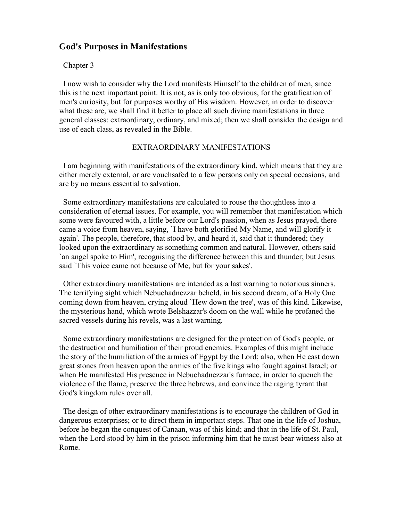# **God's Purposes in Manifestations**

## Chapter 3

I now wish to consider why the Lord manifests Himself to the children of men, since this is the next important point. It is not, as is only too obvious, for the gratification of men's curiosity, but for purposes worthy of His wisdom. However, in order to discover what these are, we shall find it better to place all such divine manifestations in three general classes: extraordinary, ordinary, and mixed; then we shall consider the design and use of each class, as revealed in the Bible.

## EXTRAORDINARY MANIFESTATIONS

I am beginning with manifestations of the extraordinary kind, which means that they are either merely external, or are vouchsafed to a few persons only on special occasions, and are by no means essential to salvation.

Some extraordinary manifestations are calculated to rouse the thoughtless into a consideration of eternal issues. For example, you will remember that manifestation which some were favoured with, a little before our Lord's passion, when as Jesus prayed, there came a voice from heaven, saying, `I have both glorified My Name, and will glorify it again'. The people, therefore, that stood by, and heard it, said that it thundered; they looked upon the extraordinary as something common and natural. However, others said `an angel spoke to Him', recognising the difference between this and thunder; but Jesus said `This voice came not because of Me, but for your sakes'.

Other extraordinary manifestations are intended as a last warning to notorious sinners. The terrifying sight which Nebuchadnezzar beheld, in his second dream, of a Holy One coming down from heaven, crying aloud `Hew down the tree', was of this kind. Likewise, the mysterious hand, which wrote Belshazzar's doom on the wall while he profaned the sacred vessels during his revels, was a last warning.

Some extraordinary manifestations are designed for the protection of God's people, or the destruction and humiliation of their proud enemies. Examples of this might include the story of the humiliation of the armies of Egypt by the Lord; also, when He cast down great stones from heaven upon the armies of the five kings who fought against Israel; or when He manifested His presence in Nebuchadnezzar's furnace, in order to quench the violence of the flame, preserve the three hebrews, and convince the raging tyrant that God's kingdom rules over all.

The design of other extraordinary manifestations is to encourage the children of God in dangerous enterprises; or to direct them in important steps. That one in the life of Joshua, before he began the conquest of Canaan, was of this kind; and that in the life of St. Paul, when the Lord stood by him in the prison informing him that he must bear witness also at Rome.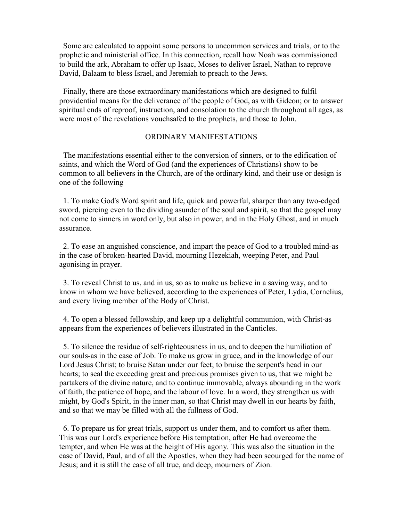Some are calculated to appoint some persons to uncommon services and trials, or to the prophetic and ministerial office. In this connection, recall how Noah was commissioned to build the ark, Abraham to offer up Isaac, Moses to deliver Israel, Nathan to reprove David, Balaam to bless Israel, and Jeremiah to preach to the Jews.

Finally, there are those extraordinary manifestations which are designed to fulfil providential means for the deliverance of the people of God, as with Gideon; or to answer spiritual ends of reproof, instruction, and consolation to the church throughout all ages, as were most of the revelations vouchsafed to the prophets, and those to John.

## ORDINARY MANIFESTATIONS

The manifestations essential either to the conversion of sinners, or to the edification of saints, and which the Word of God (and the experiences of Christians) show to be common to all believers in the Church, are of the ordinary kind, and their use or design is one of the following

1. To make God's Word spirit and life, quick and powerful, sharper than any two-edged sword, piercing even to the dividing asunder of the soul and spirit, so that the gospel may not come to sinners in word only, but also in power, and in the Holy Ghost, and in much assurance.

2. To ease an anguished conscience, and impart the peace of God to a troubled mind-as in the case of broken-hearted David, mourning Hezekiah, weeping Peter, and Paul agonising in prayer.

3. To reveal Christ to us, and in us, so as to make us believe in a saving way, and to know in whom we have believed, according to the experiences of Peter, Lydia, Cornelius, and every living member of the Body of Christ.

4. To open a blessed fellowship, and keep up a delightful communion, with Christ-as appears from the experiences of believers illustrated in the Canticles.

5. To silence the residue of self-righteousness in us, and to deepen the humiliation of our souls-as in the case of Job. To make us grow in grace, and in the knowledge of our Lord Jesus Christ; to bruise Satan under our feet; to bruise the serpent's head in our hearts; to seal the exceeding great and precious promises given to us, that we might be partakers of the divine nature, and to continue immovable, always abounding in the work of faith, the patience of hope, and the labour of love. In a word, they strengthen us with might, by God's Spirit, in the inner man, so that Christ may dwell in our hearts by faith, and so that we may be filled with all the fullness of God.

6. To prepare us for great trials, support us under them, and to comfort us after them. This was our Lord's experience before His temptation, after He had overcome the tempter, and when He was at the height of His agony. This was also the situation in the case of David, Paul, and of all the Apostles, when they had been scourged for the name of Jesus; and it is still the case of all true, and deep, mourners of Zion.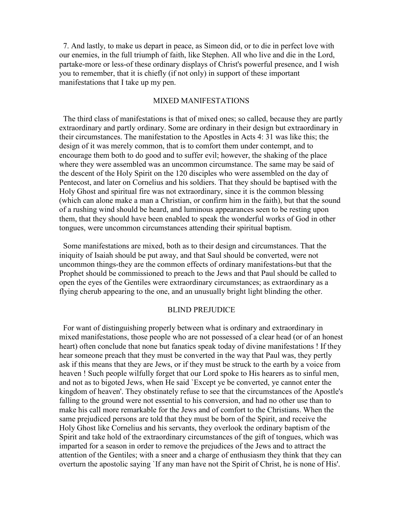7. And lastly, to make us depart in peace, as Simeon did, or to die in perfect love with our enemies, in the full triumph of faith, like Stephen. All who live and die in the Lord, partake-more or less-of these ordinary displays of Christ's powerful presence, and I wish you to remember, that it is chiefly (if not only) in support of these important manifestations that I take up my pen.

### MIXED MANIFESTATIONS

The third class of manifestations is that of mixed ones; so called, because they are partly extraordinary and partly ordinary. Some are ordinary in their design but extraordinary in their circumstances. The manifestation to the Apostles in Acts 4: 31 was like this; the design of it was merely common, that is to comfort them under contempt, and to encourage them both to do good and to suffer evil; however, the shaking of the place where they were assembled was an uncommon circumstance. The same may be said of the descent of the Holy Spirit on the 120 disciples who were assembled on the day of Pentecost, and later on Cornelius and his soldiers. That they should be baptised with the Holy Ghost and spiritual fire was not extraordinary, since it is the common blessing (which can alone make a man a Christian, or confirm him in the faith), but that the sound of a rushing wind should be heard, and luminous appearances seen to be resting upon them, that they should have been enabled to speak the wonderful works of God in other tongues, were uncommon circumstances attending their spiritual baptism.

Some manifestations are mixed, both as to their design and circumstances. That the iniquity of Isaiah should be put away, and that Saul should be converted, were not uncommon things-they are the common effects of ordinary manifestations-but that the Prophet should be commissioned to preach to the Jews and that Paul should be called to open the eyes of the Gentiles were extraordinary circumstances; as extraordinary as a flying cherub appearing to the one, and an unusually bright light blinding the other.

#### BLIND PREJUDICE

For want of distinguishing properly between what is ordinary and extraordinary in mixed manifestations, those people who are not possessed of a clear head (or of an honest heart) often conclude that none but fanatics speak today of divine manifestations ! If they hear someone preach that they must be converted in the way that Paul was, they pertly ask if this means that they are Jews, or if they must be struck to the earth by a voice from heaven ! Such people wilfully forget that our Lord spoke to His hearers as to sinful men, and not as to bigoted Jews, when He said `Except ye be converted, ye cannot enter the kingdom of heaven'. They obstinately refuse to see that the circumstances of the Apostle's falling to the ground were not essential to his conversion, and had no other use than to make his call more remarkable for the Jews and of comfort to the Christians. When the same prejudiced persons are told that they must be born of the Spirit, and receive the Holy Ghost like Cornelius and his servants, they overlook the ordinary baptism of the Spirit and take hold of the extraordinary circumstances of the gift of tongues, which was imparted for a season in order to remove the prejudices of the Jews and to attract the attention of the Gentiles; with a sneer and a charge of enthusiasm they think that they can overturn the apostolic saying `If any man have not the Spirit of Christ, he is none of His'.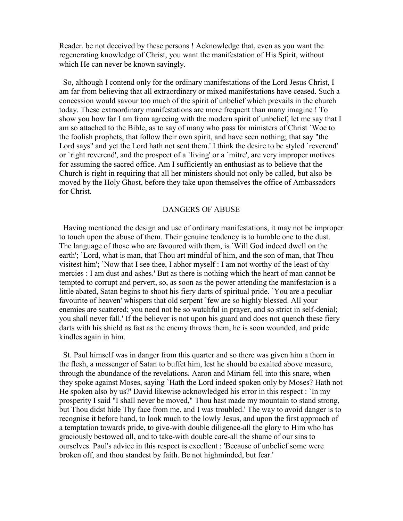Reader, be not deceived by these persons ! Acknowledge that, even as you want the regenerating knowledge of Christ, you want the manifestation of His Spirit, without which He can never be known savingly.

So, although I contend only for the ordinary manifestations of the Lord Jesus Christ, I am far from believing that all extraordinary or mixed manifestations have ceased. Such a concession would savour too much of the spirit of unbelief which prevails in the church today. These extraordinary manifestations are more frequent than many imagine ! To show you how far I am from agreeing with the modern spirit of unbelief, let me say that I am so attached to the Bible, as to say of many who pass for ministers of Christ `Woe to the foolish prophets, that follow their own spirit, and have seen nothing; that say "the Lord says" and yet the Lord hath not sent them.' I think the desire to be styled `reverend' or `right reverend', and the prospect of a `living' or a `mitre', are very improper motives for assuming the sacred office. Am I sufficiently an enthusiast as to believe that the Church is right in requiring that all her ministers should not only be called, but also be moved by the Holy Ghost, before they take upon themselves the office of Ambassadors for Christ.

## DANGERS OF ABUSE

Having mentioned the design and use of ordinary manifestations, it may not be improper to touch upon the abuse of them. Their genuine tendency is to humble one to the dust. The language of those who are favoured with them, is `Will God indeed dwell on the earth'; `Lord, what is man, that Thou art mindful of him, and the son of man, that Thou visitest him'; `Now that I see thee, I abhor myself : I am not worthy of the least of thy mercies : I am dust and ashes.' But as there is nothing which the heart of man cannot be tempted to corrupt and pervert, so, as soon as the power attending the manifestation is a little abated, Satan begins to shoot his fiery darts of spiritual pride. `You are a peculiar favourite of heaven' whispers that old serpent `few are so highly blessed. All your enemies are scattered; you need not be so watchful in prayer, and so strict in self-denial; you shall never fall.' If the believer is not upon his guard and does not quench these fiery darts with his shield as fast as the enemy throws them, he is soon wounded, and pride kindles again in him.

St. Paul himself was in danger from this quarter and so there was given him a thorn in the flesh, a messenger of Satan to buffet him, lest he should be exalted above measure, through the abundance of the revelations. Aaron and Miriam fell into this snare, when they spoke against Moses, saying `Hath the Lord indeed spoken only by Moses? Hath not He spoken also by us?' David likewise acknowledged his error in this respect : `In my prosperity I said "I shall never be moved," Thou hast made my mountain to stand strong, but Thou didst hide Thy face from me, and I was troubled.' The way to avoid danger is to recognise it before hand, to look much to the lowly Jesus, and upon the first approach of a temptation towards pride, to give-with double diligence-all the glory to Him who has graciously bestowed all, and to take-with double care-all the shame of our sins to ourselves. Paul's advice in this respect is excellent : 'Because of unbelief some were broken off, and thou standest by faith. Be not highminded, but fear.'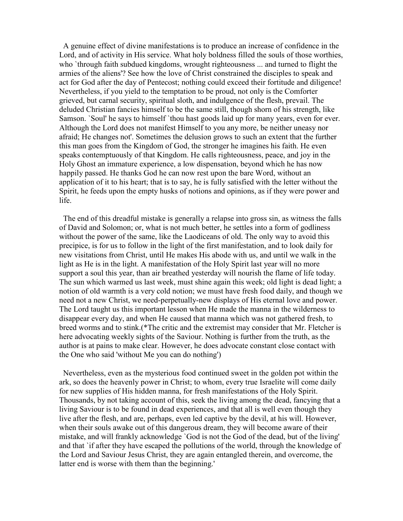A genuine effect of divine manifestations is to produce an increase of confidence in the Lord, and of activity in His service. What holy boldness filled the souls of those worthies, who 'through faith subdued kingdoms, wrought righteousness ... and turned to flight the armies of the aliens'? See how the love of Christ constrained the disciples to speak and act for God after the day of Pentecost; nothing could exceed their fortitude and diligence! Nevertheless, if you yield to the temptation to be proud, not only is the Comforter grieved, but carnal security, spiritual sloth, and indulgence of the flesh, prevail. The deluded Christian fancies himself to be the same still, though shorn of his strength, like Samson. `Soul' he says to himself `thou hast goods laid up for many years, even for ever. Although the Lord does not manifest Himself to you any more, be neither uneasy nor afraid; He changes not'. Sometimes the delusion grows to such an extent that the further this man goes from the Kingdom of God, the stronger he imagines his faith. He even speaks contemptuously of that Kingdom. He calls righteousness, peace, and joy in the Holy Ghost an immature experience, a low dispensation, beyond which he has now happily passed. He thanks God he can now rest upon the bare Word, without an application of it to his heart; that is to say, he is fully satisfied with the letter without the Spirit, he feeds upon the empty husks of notions and opinions, as if they were power and life.

The end of this dreadful mistake is generally a relapse into gross sin, as witness the falls of David and Solomon; or, what is not much better, he settles into a form of godliness without the power of the same, like the Laodiceans of old. The only way to avoid this precipice, is for us to follow in the light of the first manifestation, and to look daily for new visitations from Christ, until He makes His abode with us, and until we walk in the light as He is in the light. A manifestation of the Holy Spirit last year will no more support a soul this year, than air breathed yesterday will nourish the flame of life today. The sun which warmed us last week, must shine again this week; old light is dead light; a notion of old warmth is a very cold notion; we must have fresh food daily, and though we need not a new Christ, we need-perpetually-new displays of His eternal love and power. The Lord taught us this important lesson when He made the manna in the wilderness to disappear every day, and when He caused that manna which was not gathered fresh, to breed worms and to stink.(\*The critic and the extremist may consider that Mr. Fletcher is here advocating weekly sights of the Saviour. Nothing is further from the truth, as the author is at pains to make clear. However, he does advocate constant close contact with the One who said 'without Me you can do nothing')

Nevertheless, even as the mysterious food continued sweet in the golden pot within the ark, so does the heavenly power in Christ; to whom, every true Israelite will come daily for new supplies of His hidden manna, for fresh manifestations of the Holy Spirit. Thousands, by not taking account of this, seek the living among the dead, fancying that a living Saviour is to be found in dead experiences, and that all is well even though they live after the flesh, and are, perhaps, even led captive by the devil, at his will. However, when their souls awake out of this dangerous dream, they will become aware of their mistake, and will frankly acknowledge `God is not the God of the dead, but of the living' and that `if after they have escaped the pollutions of the world, through the knowledge of the Lord and Saviour Jesus Christ, they are again entangled therein, and overcome, the latter end is worse with them than the beginning.'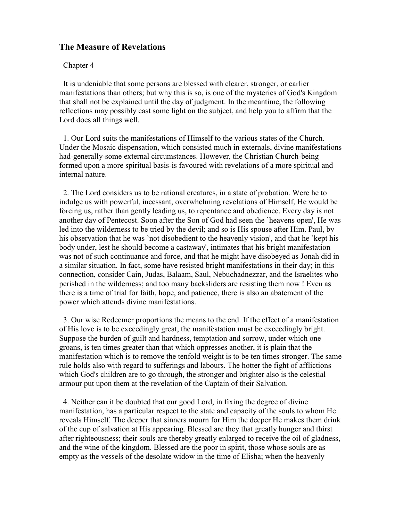# **The Measure of Revelations**

## Chapter 4

It is undeniable that some persons are blessed with clearer, stronger, or earlier manifestations than others; but why this is so, is one of the mysteries of God's Kingdom that shall not be explained until the day of judgment. In the meantime, the following reflections may possibly cast some light on the subject, and help you to affirm that the Lord does all things well.

1. Our Lord suits the manifestations of Himself to the various states of the Church. Under the Mosaic dispensation, which consisted much in externals, divine manifestations had-generally-some external circumstances. However, the Christian Church-being formed upon a more spiritual basis-is favoured with revelations of a more spiritual and internal nature.

2. The Lord considers us to be rational creatures, in a state of probation. Were he to indulge us with powerful, incessant, overwhelming revelations of Himself, He would be forcing us, rather than gently leading us, to repentance and obedience. Every day is not another day of Pentecost. Soon after the Son of God had seen the `heavens open', He was led into the wilderness to be tried by the devil; and so is His spouse after Him. Paul, by his observation that he was `not disobedient to the heavenly vision', and that he `kept his body under, lest he should become a castaway', intimates that his bright manifestation was not of such continuance and force, and that he might have disobeyed as Jonah did in a similar situation. In fact, some have resisted bright manifestations in their day; in this connection, consider Cain, Judas, Balaam, Saul, Nebuchadnezzar, and the Israelites who perished in the wilderness; and too many backsliders are resisting them now ! Even as there is a time of trial for faith, hope, and patience, there is also an abatement of the power which attends divine manifestations.

3. Our wise Redeemer proportions the means to the end. If the effect of a manifestation of His love is to be exceedingly great, the manifestation must be exceedingly bright. Suppose the burden of guilt and hardness, temptation and sorrow, under which one groans, is ten times greater than that which oppresses another, it is plain that the manifestation which is to remove the tenfold weight is to be ten times stronger. The same rule holds also with regard to sufferings and labours. The hotter the fight of afflictions which God's children are to go through, the stronger and brighter also is the celestial armour put upon them at the revelation of the Captain of their Salvation.

4. Neither can it be doubted that our good Lord, in fixing the degree of divine manifestation, has a particular respect to the state and capacity of the souls to whom He reveals Himself. The deeper that sinners mourn for Him the deeper He makes them drink of the cup of salvation at His appearing. Blessed are they that greatly hunger and thirst after righteousness; their souls are thereby greatly enlarged to receive the oil of gladness, and the wine of the kingdom. Blessed are the poor in spirit, those whose souls are as empty as the vessels of the desolate widow in the time of Elisha; when the heavenly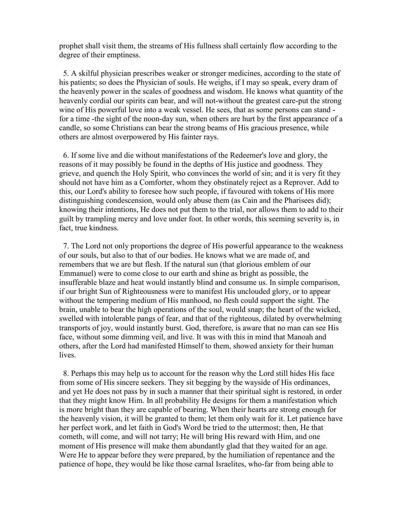prophet shall visit them, the streams of His fullness shall certainly flow according to the degree of their emptiness.

5. A skilful physician prescribes weaker or stronger medicines, according to the state of his patients; so does the Physician of souls. He weighs, if I may so speak, every dram of the heavenly power in the scales of goodness and wisdom. He knows what quantity of the heavenly cordial our spirits can bear, and will not-without the greatest care-put the strong wine of His powerful love into a weak vessel. He sees, that as some persons can stand for a time -the sight of the noon-day sun, when others are hurt by the first appearance of a candle, so some Christians can bear the strong beams of His gracious presence, while others are almost overpowered by His fainter rays.

6. If some live and die without manifestations of the Redeemer's love and glory, the reasons of it may possibly be found in the depths of His justice and goodness. They grieve, and quench the Holy Spirit, who convinces the world of sin; and it is very fit they should not have him as a Comforter, whom they obstinately reject as a Reprover. Add to this, our Lord's ability to foresee how such people, if favoured with tokens of His more distinguishing condescension, would only abuse them (as Cain and the Pharisees did); knowing their intentions, He does not put them to the trial, nor allows them to add to their guilt by trampling mercy and love under foot. In other words, this seeming severity is, in fact, true kindness.

7. The Lord not only proportions the degree of His powerful appearance to the weakness of our souls, but also to that of our bodies. He knows what we are made of, and remembers that we are but flesh. If the natural sun (that glorious emblem of our Emmanuel) were to come close to our earth and shine as bright as possible, the insufferable blaze and heat would instantly blind and consume us. In simple comparison, if our bright Sun of Righteousness were to manifest His unclouded glory, or to appear without the tempering medium of His manhood, no flesh could support the sight. The brain, unable to bear the high operations of the soul, would snap; the heart of the wicked, swelled with intolerable pangs of fear, and that of the righteous, dilated by overwhelming transports of joy, would instantly burst. God, therefore, is aware that no man can see His face, without some dimming veil, and live. It was with this in mind that Manoah and others, after the Lord had manifested Himself to them, showed anxiety for their human lives.

8. Perhaps this may help us to account for the reason why the Lord still hides His face from some of His sincere seekers. They sit begging by the wayside of His ordinances, and yet He does not pass by in such a manner that their spiritual sight is restored, in order that they might know Him. In all probability He designs for them a manifestation which is more bright than they are capable of bearing. When their hearts are strong enough for the heavenly vision, it will be granted to them; let them only wait for it. Let patience have her perfect work, and let faith in God's Word be tried to the uttermost; then, He that cometh, will come, and will not tarry; He will bring His reward with Him, and one moment of His presence will make them abundantly glad that they waited for an age. Were He to appear before they were prepared, by the humiliation of repentance and the patience of hope, they would be like those carnal Israelites, who-far from being able to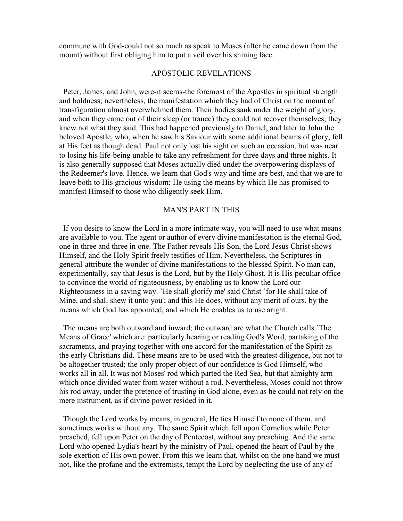commune with God-could not so much as speak to Moses (after he came down from the mount) without first obliging him to put a veil over his shining face.

### APOSTOLIC REVELATIONS

Peter, James, and John, were-it seems-the foremost of the Apostles in spiritual strength and boldness; nevertheless, the manifestation which they had of Christ on the mount of transfiguration almost overwhelmed them. Their bodies sank under the weight of glory, and when they came out of their sleep (or trance) they could not recover themselves; they knew not what they said. This had happened previously to Daniel, and later to John the beloved Apostle, who, when he saw his Saviour with some additional beams of glory, fell at His feet as though dead. Paul not only lost his sight on such an occasion, but was near to losing his life-being unable to take any refreshment for three days and three nights. It is also generally supposed that Moses actually died under the overpowering displays of the Redeemer's love. Hence, we learn that God's way and time are best, and that we are to leave both to His gracious wisdom; He using the means by which He has promised to manifest Himself to those who diligently seek Him.

## MAN'S PART IN THIS

If you desire to know the Lord in a more intimate way, you will need to use what means are available to you. The agent or author of every divine manifestation is the eternal God, one in three and three in one. The Father reveals His Son, the Lord Jesus Christ shows Himself, and the Holy Spirit freely testifies of Him. Nevertheless, the Scriptures-in general-attribute the wonder of divine manifestations to the blessed Spirit. No man can, experimentally, say that Jesus is the Lord, but by the Holy Ghost. It is His peculiar office to convince the world of righteousness, by enabling us to know the Lord our Righteousness in a saving way. `He shall glorify me' said Christ `for He shall take of Mine, and shall shew it unto you'; and this He does, without any merit of ours, by the means which God has appointed, and which He enables us to use aright.

The means are both outward and inward; the outward are what the Church calls `The Means of Grace' which are: particularly hearing or reading God's Word, partaking of the sacraments, and praying together with one accord for the manifestation of the Spirit as the early Christians did. These means are to be used with the greatest diligence, but not to be altogether trusted; the only proper object of our confidence is God Himself, who works all in all. It was not Moses' rod which parted the Red Sea, but that almighty arm which once divided water from water without a rod. Nevertheless, Moses could not throw his rod away, under the pretence of trusting in God alone, even as he could not rely on the mere instrument, as if divine power resided in it.

Though the Lord works by means, in general, He ties Himself to none of them, and sometimes works without any. The same Spirit which fell upon Cornelius while Peter preached, fell upon Peter on the day of Pentecost, without any preaching. And the same Lord who opened Lydia's heart by the ministry of Paul, opened the heart of Paul by the sole exertion of His own power. From this we learn that, whilst on the one hand we must not, like the profane and the extremists, tempt the Lord by neglecting the use of any of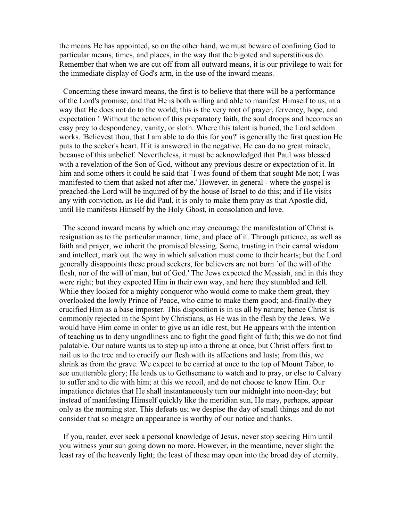the means He has appointed, so on the other hand, we must beware of confining God to particular means, times, and places, in the way that the bigoted and superstitious do. Remember that when we are cut off from all outward means, it is our privilege to wait for the immediate display of God's arm, in the use of the inward means.

Concerning these inward means, the first is to believe that there will be a performance of the Lord's promise, and that He is both willing and able to manifest Himself to us, in a way that He does not do to the world; this is the very root of prayer, fervency, hope, and expectation ! Without the action of this preparatory faith, the soul droops and becomes an easy prey to despondency, vanity, or sloth. Where this talent is buried, the Lord seldom works. 'Believest thou, that I am able to do this for you?' is generally the first question He puts to the seeker's heart. If it is answered in the negative, He can do no great miracle, because of this unbelief. Nevertheless, it must be acknowledged that Paul was blessed with a revelation of the Son of God, without any previous desire or expectation of it. In him and some others it could be said that `I was found of them that sought Me not; I was manifested to them that asked not after me.' However, in general - where the gospel is preached-the Lord will be inquired of by the house of Israel to do this; and if He visits any with conviction, as He did Paul, it is only to make them pray as that Apostle did, until He manifests Himself by the Holy Ghost, in consolation and love.

The second inward means by which one may encourage the manifestation of Christ is resignation as to the particular manner, time, and place of it. Through patience, as well as faith and prayer, we inherit the promised blessing. Some, trusting in their carnal wisdom and intellect, mark out the way in which salvation must come to their hearts; but the Lord generally disappoints these proud seekers, for believers are not born `of the will of the flesh, nor of the will of man, but of God.' The Jews expected the Messiah, and in this they were right; but they expected Him in their own way, and here they stumbled and fell. While they looked for a mighty conqueror who would come to make them great, they overlooked the lowly Prince of Peace, who came to make them good; and-finally-they crucified Him as a base imposter. This disposition is in us all by nature; hence Christ is commonly rejected in the Spirit by Christians, as He was in the flesh by the Jews. We would have Him come in order to give us an idle rest, but He appears with the intention of teaching us to deny ungodliness and to fight the good fight of faith; this we do not find palatable. Our nature wants us to step up into a throne at once, but Christ offers first to nail us to the tree and to crucify our flesh with its affections and lusts; from this, we shrink as from the grave. We expect to be carried at once to the top of Mount Tabor, to see unutterable glory; He leads us to Gethsemane to watch and to pray, or else to Calvary to suffer and to die with him; at this we recoil, and do not choose to know Him. Our impatience dictates that He shall instantaneously turn our midnight into noon-day; but instead of manifesting Himself quickly like the meridian sun, He may, perhaps, appear only as the morning star. This defeats us; we despise the day of small things and do not consider that so meagre an appearance is worthy of our notice and thanks.

If you, reader, ever seek a personal knowledge of Jesus, never stop seeking Him until you witness your sun going down no more. However, in the meantime, never slight the least ray of the heavenly light; the least of these may open into the broad day of eternity.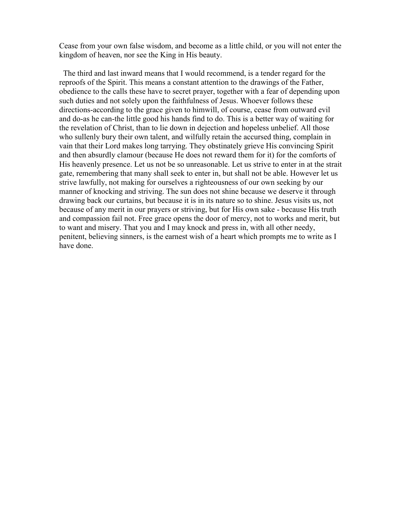Cease from your own false wisdom, and become as a little child, or you will not enter the kingdom of heaven, nor see the King in His beauty.

The third and last inward means that I would recommend, is a tender regard for the reproofs of the Spirit. This means a constant attention to the drawings of the Father, obedience to the calls these have to secret prayer, together with a fear of depending upon such duties and not solely upon the faithfulness of Jesus. Whoever follows these directions-according to the grace given to himwill, of course, cease from outward evil and do-as he can-the little good his hands find to do. This is a better way of waiting for the revelation of Christ, than to lie down in dejection and hopeless unbelief. All those who sullenly bury their own talent, and wilfully retain the accursed thing, complain in vain that their Lord makes long tarrying. They obstinately grieve His convincing Spirit and then absurdly clamour (because He does not reward them for it) for the comforts of His heavenly presence. Let us not be so unreasonable. Let us strive to enter in at the strait gate, remembering that many shall seek to enter in, but shall not be able. However let us strive lawfully, not making for ourselves a righteousness of our own seeking by our manner of knocking and striving. The sun does not shine because we deserve it through drawing back our curtains, but because it is in its nature so to shine. Jesus visits us, not because of any merit in our prayers or striving, but for His own sake - because His truth and compassion fail not. Free grace opens the door of mercy, not to works and merit, but to want and misery. That you and I may knock and press in, with all other needy, penitent, believing sinners, is the earnest wish of a heart which prompts me to write as I have done.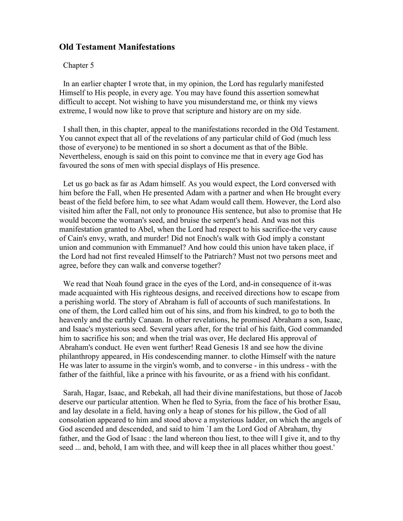# **Old Testament Manifestations**

## Chapter 5

In an earlier chapter I wrote that, in my opinion, the Lord has regularly manifested Himself to His people, in every age. You may have found this assertion somewhat difficult to accept. Not wishing to have you misunderstand me, or think my views extreme, I would now like to prove that scripture and history are on my side.

I shall then, in this chapter, appeal to the manifestations recorded in the Old Testament. You cannot expect that all of the revelations of any particular child of God (much less those of everyone) to be mentioned in so short a document as that of the Bible. Nevertheless, enough is said on this point to convince me that in every age God has favoured the sons of men with special displays of His presence.

Let us go back as far as Adam himself. As you would expect, the Lord conversed with him before the Fall, when He presented Adam with a partner and when He brought every beast of the field before him, to see what Adam would call them. However, the Lord also visited him after the Fall, not only to pronounce His sentence, but also to promise that He would become the woman's seed, and bruise the serpent's head. And was not this manifestation granted to Abel, when the Lord had respect to his sacrifice-the very cause of Cain's envy, wrath, and murder! Did not Enoch's walk with God imply a constant union and communion with Emmanuel? And how could this union have taken place, if the Lord had not first revealed Himself to the Patriarch? Must not two persons meet and agree, before they can walk and converse together?

We read that Noah found grace in the eyes of the Lord, and-in consequence of it-was made acquainted with His righteous designs, and received directions how to escape from a perishing world. The story of Abraham is full of accounts of such manifestations. In one of them, the Lord called him out of his sins, and from his kindred, to go to both the heavenly and the earthly Canaan. In other revelations, he promised Abraham a son, Isaac, and Isaac's mysterious seed. Several years after, for the trial of his faith, God commanded him to sacrifice his son; and when the trial was over, He declared His approval of Abraham's conduct. He even went further! Read Genesis 18 and see how the divine philanthropy appeared, in His condescending manner. to clothe Himself with the nature He was later to assume in the virgin's womb, and to converse - in this undress - with the father of the faithful, like a prince with his favourite, or as a friend with his confidant.

Sarah, Hagar, Isaac, and Rebekah, all had their divine manifestations, but those of Jacob deserve our particular attention. When he fled to Syria, from the face of his brother Esau, and lay desolate in a field, having only a heap of stones for his pillow, the God of all consolation appeared to him and stood above a mysterious ladder, on which the angels of God ascended and descended, and said to him `I am the Lord God of Abraham, thy father, and the God of Isaac : the land whereon thou liest, to thee will I give it, and to thy seed ... and, behold, I am with thee, and will keep thee in all places whither thou goest.'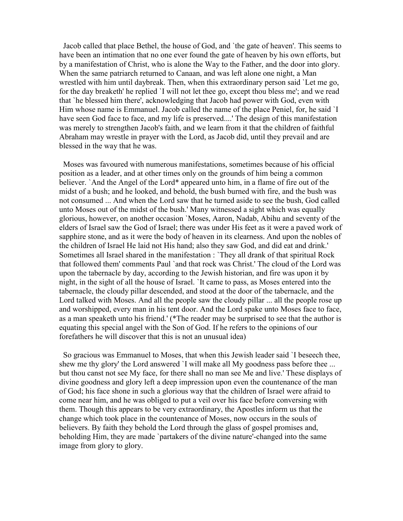Jacob called that place Bethel, the house of God, and `the gate of heaven'. This seems to have been an intimation that no one ever found the gate of heaven by his own efforts, but by a manifestation of Christ, who is alone the Way to the Father, and the door into glory. When the same patriarch returned to Canaan, and was left alone one night, a Man wrestled with him until daybreak. Then, when this extraordinary person said `Let me go, for the day breaketh' he replied `I will not let thee go, except thou bless me'; and we read that `he blessed him there', acknowledging that Jacob had power with God, even with Him whose name is Emmanuel. Jacob called the name of the place Peniel, for, he said `I have seen God face to face, and my life is preserved....' The design of this manifestation was merely to strengthen Jacob's faith, and we learn from it that the children of faithful Abraham may wrestle in prayer with the Lord, as Jacob did, until they prevail and are blessed in the way that he was.

Moses was favoured with numerous manifestations, sometimes because of his official position as a leader, and at other times only on the grounds of him being a common believer. `And the Angel of the Lord\* appeared unto him, in a flame of fire out of the midst of a bush; and he looked, and behold, the bush burned with fire, and the bush was not consumed ... And when the Lord saw that he turned aside to see the bush, God called unto Moses out of the midst of the bush.' Many witnessed a sight which was equally glorious, however, on another occasion `Moses, Aaron, Nadab, Abihu and seventy of the elders of Israel saw the God of Israel; there was under His feet as it were a paved work of sapphire stone, and as it were the body of heaven in its clearness. And upon the nobles of the children of Israel He laid not His hand; also they saw God, and did eat and drink.' Sometimes all Israel shared in the manifestation : `They all drank of that spiritual Rock that followed them' comments Paul `and that rock was Christ.' The cloud of the Lord was upon the tabernacle by day, according to the Jewish historian, and fire was upon it by night, in the sight of all the house of Israel. `It came to pass, as Moses entered into the tabernacle, the cloudy pillar descended, and stood at the door of the tabernacle, and the Lord talked with Moses. And all the people saw the cloudy pillar ... all the people rose up and worshipped, every man in his tent door. And the Lord spake unto Moses face to face, as a man speaketh unto his friend.' (\*The reader may be surprised to see that the author is equating this special angel with the Son of God. If he refers to the opinions of our forefathers he will discover that this is not an unusual idea)

So gracious was Emmanuel to Moses, that when this Jewish leader said `I beseech thee, shew me thy glory' the Lord answered `I will make all My goodness pass before thee ... but thou canst not see My face, for there shall no man see Me and live.' These displays of divine goodness and glory left a deep impression upon even the countenance of the man of God; his face shone in such a glorious way that the children of Israel were afraid to come near him, and he was obliged to put a veil over his face before conversing with them. Though this appears to be very extraordinary, the Apostles inform us that the change which took place in the countenance of Moses, now occurs in the souls of believers. By faith they behold the Lord through the glass of gospel promises and, beholding Him, they are made `partakers of the divine nature'-changed into the same image from glory to glory.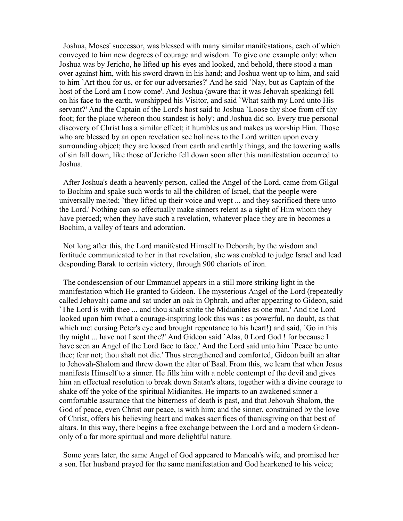Joshua, Moses' successor, was blessed with many similar manifestations, each of which conveyed to him new degrees of courage and wisdom. To give one example only: when Joshua was by Jericho, he lifted up his eyes and looked, and behold, there stood a man over against him, with his sword drawn in his hand; and Joshua went up to him, and said to him `Art thou for us, or for our adversaries?' And he said `Nay, but as Captain of the host of the Lord am I now come'. And Joshua (aware that it was Jehovah speaking) fell on his face to the earth, worshipped his Visitor, and said `What saith my Lord unto His servant?' And the Captain of the Lord's host said to Joshua `Loose thy shoe from off thy foot; for the place whereon thou standest is holy'; and Joshua did so. Every true personal discovery of Christ has a similar effect; it humbles us and makes us worship Him. Those who are blessed by an open revelation see holiness to the Lord written upon every surrounding object; they are loosed from earth and earthly things, and the towering walls of sin fall down, like those of Jericho fell down soon after this manifestation occurred to Joshua.

After Joshua's death a heavenly person, called the Angel of the Lord, came from Gilgal to Bochim and spake such words to all the children of Israel, that the people were universally melted; `they lifted up their voice and wept ... and they sacrificed there unto the Lord.' Nothing can so effectually make sinners relent as a sight of Him whom they have pierced; when they have such a revelation, whatever place they are in becomes a Bochim, a valley of tears and adoration.

Not long after this, the Lord manifested Himself to Deborah; by the wisdom and fortitude communicated to her in that revelation, she was enabled to judge Israel and lead desponding Barak to certain victory, through 900 chariots of iron.

The condescension of our Emmanuel appears in a still more striking light in the manifestation which He granted to Gideon. The mysterious Angel of the Lord (repeatedly called Jehovah) came and sat under an oak in Ophrah, and after appearing to Gideon, said `The Lord is with thee ... and thou shalt smite the Midianites as one man.' And the Lord looked upon him (what a courage-inspiring look this was : as powerful, no doubt, as that which met cursing Peter's eye and brought repentance to his heart!) and said, `Go in this thy might ... have not I sent thee?' And Gideon said `Alas, 0 Lord God ! for because I have seen an Angel of the Lord face to face.' And the Lord said unto him `Peace be unto thee; fear not; thou shalt not die.' Thus strengthened and comforted, Gideon built an altar to Jehovah-Shalom and threw down the altar of Baal. From this, we learn that when Jesus manifests Himself to a sinner. He fills him with a noble contempt of the devil and gives him an effectual resolution to break down Satan's altars, together with a divine courage to shake off the yoke of the spiritual Midianites. He imparts to an awakened sinner a comfortable assurance that the bitterness of death is past, and that Jehovah Shalom, the God of peace, even Christ our peace, is with him; and the sinner, constrained by the love of Christ, offers his believing heart and makes sacrifices of thanksgiving on that best of altars. In this way, there begins a free exchange between the Lord and a modern Gideononly of a far more spiritual and more delightful nature.

Some years later, the same Angel of God appeared to Manoah's wife, and promised her a son. Her husband prayed for the same manifestation and God hearkened to his voice;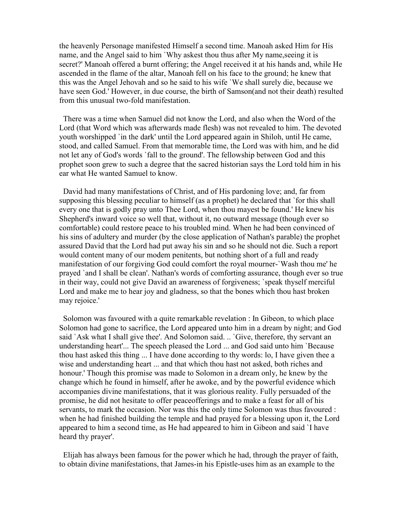the heavenly Personage manifested Himself a second time. Manoah asked Him for His name, and the Angel said to him `Why askest thou thus after My name,seeing it is secret?' Manoah offered a burnt offering; the Angel received it at his hands and, while He ascended in the flame of the altar, Manoah fell on his face to the ground; he knew that this was the Angel Jehovah and so he said to his wife `We shall surely die, because we have seen God.' However, in due course, the birth of Samson(and not their death) resulted from this unusual two-fold manifestation.

There was a time when Samuel did not know the Lord, and also when the Word of the Lord (that Word which was afterwards made flesh) was not revealed to him. The devoted youth worshipped `in the dark' until the Lord appeared again in Shiloh, until He came, stood, and called Samuel. From that memorable time, the Lord was with him, and he did not let any of God's words `fall to the ground'. The fellowship between God and this prophet soon grew to such a degree that the sacred historian says the Lord told him in his ear what He wanted Samuel to know.

David had many manifestations of Christ, and of His pardoning love; and, far from supposing this blessing peculiar to himself (as a prophet) he declared that `for this shall every one that is godly pray unto Thee Lord, when thou mayest be found.' He knew his Shepherd's inward voice so well that, without it, no outward message (though ever so comfortable) could restore peace to his troubled mind. When he had been convinced of his sins of adultery and murder (by the close application of Nathan's parable) the prophet assured David that the Lord had put away his sin and so he should not die. Such a report would content many of our modem penitents, but nothing short of a full and ready manifestation of our forgiving God could comfort the royal mourner-`Wash thou me' he prayed `and I shall be clean'. Nathan's words of comforting assurance, though ever so true in their way, could not give David an awareness of forgiveness; `speak thyself merciful Lord and make me to hear joy and gladness, so that the bones which thou hast broken may rejoice.'

Solomon was favoured with a quite remarkable revelation : In Gibeon, to which place Solomon had gone to sacrifice, the Lord appeared unto him in a dream by night; and God said `Ask what I shall give thee'. And Solomon said. .. `Give, therefore, thy servant an understanding heart'... The speech pleased the Lord ... and God said unto him `Because thou hast asked this thing ... I have done according to thy words: lo, I have given thee a wise and understanding heart ... and that which thou hast not asked, both riches and honour.' Though this promise was made to Solomon in a dream only, he knew by the change which he found in himself, after he awoke, and by the powerful evidence which accompanies divine manifestations, that it was glorious reality. Fully persuaded of the promise, he did not hesitate to offer peaceofferings and to make a feast for all of his servants, to mark the occasion. Nor was this the only time Solomon was thus favoured : when he had finished building the temple and had prayed for a blessing upon it, the Lord appeared to him a second time, as He had appeared to him in Gibeon and said `I have heard thy prayer'.

Elijah has always been famous for the power which he had, through the prayer of faith, to obtain divine manifestations, that James-in his Epistle-uses him as an example to the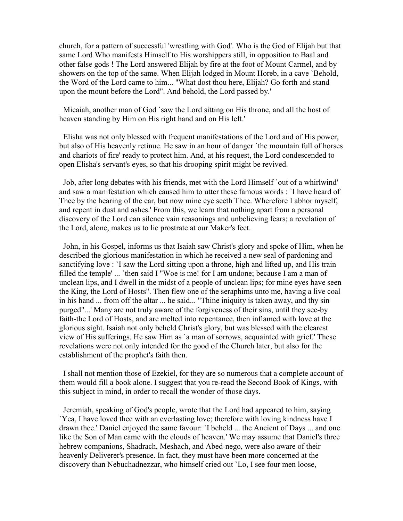church, for a pattern of successful 'wrestling with God'. Who is the God of Elijah but that same Lord Who manifests Himself to His worshippers still, in opposition to Baal and other false gods ! The Lord answered Elijah by fire at the foot of Mount Carmel, and by showers on the top of the same. When Elijah lodged in Mount Horeb, in a cave `Behold, the Word of the Lord came to him... "What dost thou here, Elijah? Go forth and stand upon the mount before the Lord". And behold, the Lord passed by.'

Micaiah, another man of God `saw the Lord sitting on His throne, and all the host of heaven standing by Him on His right hand and on His left.'

Elisha was not only blessed with frequent manifestations of the Lord and of His power, but also of His heavenly retinue. He saw in an hour of danger `the mountain full of horses and chariots of fire' ready to protect him. And, at his request, the Lord condescended to open Elisha's servant's eyes, so that his drooping spirit might be revived.

Job, after long debates with his friends, met with the Lord Himself `out of a whirlwind' and saw a manifestation which caused him to utter these famous words : `I have heard of Thee by the hearing of the ear, but now mine eye seeth Thee. Wherefore I abhor myself, and repent in dust and ashes.' From this, we learn that nothing apart from a personal discovery of the Lord can silence vain reasonings and unbelieving fears; a revelation of the Lord, alone, makes us to lie prostrate at our Maker's feet.

John, in his Gospel, informs us that Isaiah saw Christ's glory and spoke of Him, when he described the glorious manifestation in which he received a new seal of pardoning and sanctifying love : `I saw the Lord sitting upon a throne, high and lifted up, and His train filled the temple' ... `then said I "Woe is me! for I am undone; because I am a man of unclean lips, and I dwell in the midst of a people of unclean lips; for mine eyes have seen the King, the Lord of Hosts". Then flew one of the seraphims unto me, having a live coal in his hand ... from off the altar ... he said... "Thine iniquity is taken away, and thy sin purged"...' Many are not truly aware of the forgiveness of their sins, until they see-by faith-the Lord of Hosts, and are melted into repentance, then inflamed with love at the glorious sight. Isaiah not only beheld Christ's glory, but was blessed with the clearest view of His sufferings. He saw Him as `a man of sorrows, acquainted with grief.' These revelations were not only intended for the good of the Church later, but also for the establishment of the prophet's faith then.

I shall not mention those of Ezekiel, for they are so numerous that a complete account of them would fill a book alone. I suggest that you re-read the Second Book of Kings, with this subject in mind, in order to recall the wonder of those days.

Jeremiah, speaking of God's people, wrote that the Lord had appeared to him, saying `Yea, I have loved thee with an everlasting love; therefore with loving kindness have I drawn thee.' Daniel enjoyed the same favour: `I beheld ... the Ancient of Days ... and one like the Son of Man came with the clouds of heaven.' We may assume that Daniel's three hebrew companions, Shadrach, Meshach, and Abed-nego, were also aware of their heavenly Deliverer's presence. In fact, they must have been more concerned at the discovery than Nebuchadnezzar, who himself cried out `Lo, I see four men loose,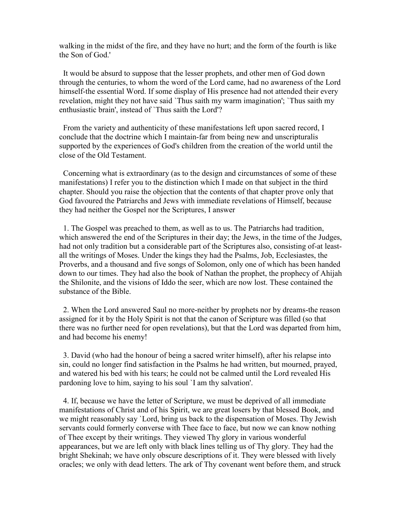walking in the midst of the fire, and they have no hurt; and the form of the fourth is like the Son of God.'

It would be absurd to suppose that the lesser prophets, and other men of God down through the centuries, to whom the word of the Lord came, had no awareness of the Lord himself-the essential Word. If some display of His presence had not attended their every revelation, might they not have said `Thus saith my warm imagination'; `Thus saith my enthusiastic brain', instead of `Thus saith the Lord'?

From the variety and authenticity of these manifestations left upon sacred record, I conclude that the doctrine which I maintain-far from being new and unscripturalis supported by the experiences of God's children from the creation of the world until the close of the Old Testament.

Concerning what is extraordinary (as to the design and circumstances of some of these manifestations) I refer you to the distinction which I made on that subject in the third chapter. Should you raise the objection that the contents of that chapter prove only that God favoured the Patriarchs and Jews with immediate revelations of Himself, because they had neither the Gospel nor the Scriptures, I answer

1. The Gospel was preached to them, as well as to us. The Patriarchs had tradition, which answered the end of the Scriptures in their day; the Jews, in the time of the Judges, had not only tradition but a considerable part of the Scriptures also, consisting of-at leastall the writings of Moses. Under the kings they had the Psalms, Job, Ecclesiastes, the Proverbs, and a thousand and five songs of Solomon, only one of which has been handed down to our times. They had also the book of Nathan the prophet, the prophecy of Ahijah the Shilonite, and the visions of Iddo the seer, which are now lost. These contained the substance of the Bible.

2. When the Lord answered Saul no more-neither by prophets nor by dreams-the reason assigned for it by the Holy Spirit is not that the canon of Scripture was filled (so that there was no further need for open revelations), but that the Lord was departed from him, and had become his enemy!

3. David (who had the honour of being a sacred writer himself), after his relapse into sin, could no longer find satisfaction in the Psalms he had written, but mourned, prayed, and watered his bed with his tears; he could not be calmed until the Lord revealed His pardoning love to him, saying to his soul `I am thy salvation'.

4. If, because we have the letter of Scripture, we must be deprived of all immediate manifestations of Christ and of his Spirit, we are great losers by that blessed Book, and we might reasonably say `Lord, bring us back to the dispensation of Moses. Thy Jewish servants could formerly converse with Thee face to face, but now we can know nothing of Thee except by their writings. They viewed Thy glory in various wonderful appearances, but we are left only with black lines telling us of Thy glory. They had the bright Shekinah; we have only obscure descriptions of it. They were blessed with lively oracles; we only with dead letters. The ark of Thy covenant went before them, and struck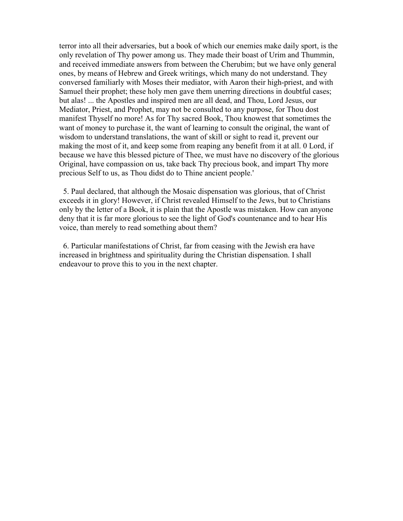terror into all their adversaries, but a book of which our enemies make daily sport, is the only revelation of Thy power among us. They made their boast of Urim and Thummin, and received immediate answers from between the Cherubim; but we have only general ones, by means of Hebrew and Greek writings, which many do not understand. They conversed familiarly with Moses their mediator, with Aaron their high-priest, and with Samuel their prophet; these holy men gave them unerring directions in doubtful cases; but alas! ... the Apostles and inspired men are all dead, and Thou, Lord Jesus, our Mediator, Priest, and Prophet, may not be consulted to any purpose, for Thou dost manifest Thyself no more! As for Thy sacred Book, Thou knowest that sometimes the want of money to purchase it, the want of learning to consult the original, the want of wisdom to understand translations, the want of skill or sight to read it, prevent our making the most of it, and keep some from reaping any benefit from it at all. 0 Lord, if because we have this blessed picture of Thee, we must have no discovery of the glorious Original, have compassion on us, take back Thy precious book, and impart Thy more precious Self to us, as Thou didst do to Thine ancient people.'

5. Paul declared, that although the Mosaic dispensation was glorious, that of Christ exceeds it in glory! However, if Christ revealed Himself to the Jews, but to Christians only by the letter of a Book, it is plain that the Apostle was mistaken. How can anyone deny that it is far more glorious to see the light of God's countenance and to hear His voice, than merely to read something about them?

6. Particular manifestations of Christ, far from ceasing with the Jewish era have increased in brightness and spirituality during the Christian dispensation. I shall endeavour to prove this to you in the next chapter.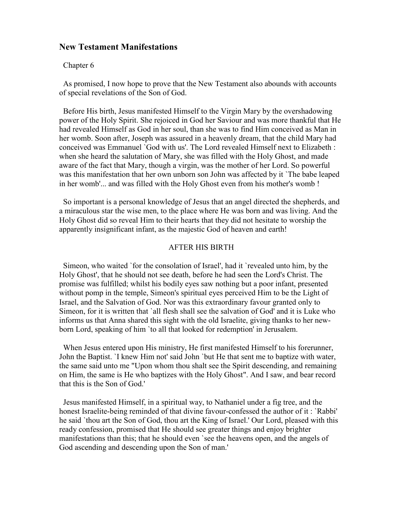## **New Testament Manifestations**

## Chapter 6

As promised, I now hope to prove that the New Testament also abounds with accounts of special revelations of the Son of God.

Before His birth, Jesus manifested Himself to the Virgin Mary by the overshadowing power of the Holy Spirit. She rejoiced in God her Saviour and was more thankful that He had revealed Himself as God in her soul, than she was to find Him conceived as Man in her womb. Soon after, Joseph was assured in a heavenly dream, that the child Mary had conceived was Emmanuel `God with us'. The Lord revealed Himself next to Elizabeth : when she heard the salutation of Mary, she was filled with the Holy Ghost, and made aware of the fact that Mary, though a virgin, was the mother of her Lord. So powerful was this manifestation that her own unborn son John was affected by it `The babe leaped in her womb'... and was filled with the Holy Ghost even from his mother's womb !

So important is a personal knowledge of Jesus that an angel directed the shepherds, and a miraculous star the wise men, to the place where He was born and was living. And the Holy Ghost did so reveal Him to their hearts that they did not hesitate to worship the apparently insignificant infant, as the majestic God of heaven and earth!

## AFTER HIS BIRTH

Simeon, who waited `for the consolation of Israel', had it `revealed unto him, by the Holy Ghost', that he should not see death, before he had seen the Lord's Christ. The promise was fulfilled; whilst his bodily eyes saw nothing but a poor infant, presented without pomp in the temple, Simeon's spiritual eyes perceived Him to be the Light of Israel, and the Salvation of God. Nor was this extraordinary favour granted only to Simeon, for it is written that `all flesh shall see the salvation of God' and it is Luke who informs us that Anna shared this sight with the old Israelite, giving thanks to her newborn Lord, speaking of him `to all that looked for redemption' in Jerusalem.

When Jesus entered upon His ministry, He first manifested Himself to his forerunner, John the Baptist. `I knew Him not' said John `but He that sent me to baptize with water, the same said unto me "Upon whom thou shalt see the Spirit descending, and remaining on Him, the same is He who baptizes with the Holy Ghost". And I saw, and bear record that this is the Son of God.'

Jesus manifested Himself, in a spiritual way, to Nathaniel under a fig tree, and the honest Israelite-being reminded of that divine favour-confessed the author of it : `Rabbi' he said `thou art the Son of God, thou art the King of Israel.' Our Lord, pleased with this ready confession, promised that He should see greater things and enjoy brighter manifestations than this; that he should even `see the heavens open, and the angels of God ascending and descending upon the Son of man.'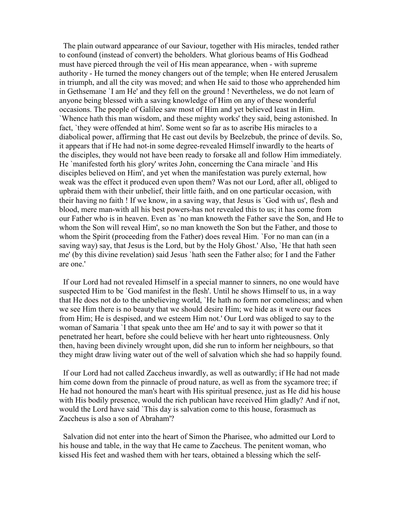The plain outward appearance of our Saviour, together with His miracles, tended rather to confound (instead of convert) the beholders. What glorious beams of His Godhead must have pierced through the veil of His mean appearance, when - with supreme authority - He turned the money changers out of the temple; when He entered Jerusalem in triumph, and all the city was moved; and when He said to those who apprehended him in Gethsemane `I am He' and they fell on the ground ! Nevertheless, we do not learn of anyone being blessed with a saving knowledge of Him on any of these wonderful occasions. The people of Galilee saw most of Him and yet believed least in Him. `Whence hath this man wisdom, and these mighty works' they said, being astonished. In fact, `they were offended at him'. Some went so far as to ascribe His miracles to a diabolical power, affirming that He cast out devils by Beelzebub, the prince of devils. So, it appears that if He had not-in some degree-revealed Himself inwardly to the hearts of the disciples, they would not have been ready to forsake all and follow Him immediately. He `manifested forth his glory' writes John, concerning the Cana miracle `and His disciples believed on Him', and yet when the manifestation was purely external, how weak was the effect it produced even upon them? Was not our Lord, after all, obliged to upbraid them with their unbelief, their little faith, and on one particular occasion, with their having no faith ! If we know, in a saving way, that Jesus is `God with us', flesh and blood, mere man-with all his best powers-has not revealed this to us; it has come from our Father who is in heaven. Even as `no man knoweth the Father save the Son, and He to whom the Son will reveal Him', so no man knoweth the Son but the Father, and those to whom the Spirit (proceeding from the Father) does reveal Him. `For no man can (in a saving way) say, that Jesus is the Lord, but by the Holy Ghost.' Also, 'He that hath seen me' (by this divine revelation) said Jesus `hath seen the Father also; for I and the Father are one.'

If our Lord had not revealed Himself in a special manner to sinners, no one would have suspected Him to be `God manifest in the flesh'. Until he shows Himself to us, in a way that He does not do to the unbelieving world, `He hath no form nor comeliness; and when we see Him there is no beauty that we should desire Him; we hide as it were our faces from Him; He is despised, and we esteem Him not.' Our Lord was obliged to say to the woman of Samaria `I that speak unto thee am He' and to say it with power so that it penetrated her heart, before she could believe with her heart unto righteousness. Only then, having been divinely wrought upon, did she run to inform her neighbours, so that they might draw living water out of the well of salvation which she had so happily found.

If our Lord had not called Zaccheus inwardly, as well as outwardly; if He had not made him come down from the pinnacle of proud nature, as well as from the sycamore tree; if He had not honoured the man's heart with His spiritual presence, just as He did his house with His bodily presence, would the rich publican have received Him gladly? And if not, would the Lord have said `This day is salvation come to this house, forasmuch as Zaccheus is also a son of Abraham'?

Salvation did not enter into the heart of Simon the Pharisee, who admitted our Lord to his house and table, in the way that He came to Zaccheus. The penitent woman, who kissed His feet and washed them with her tears, obtained a blessing which the self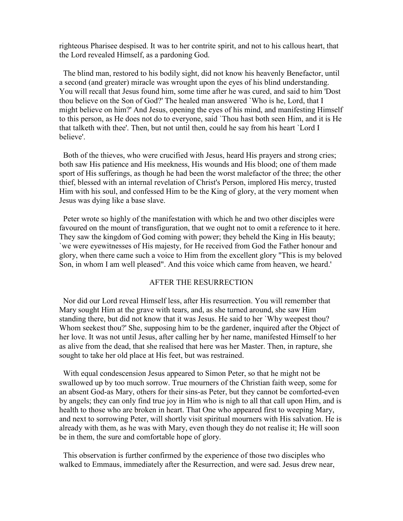righteous Pharisee despised. It was to her contrite spirit, and not to his callous heart, that the Lord revealed Himself, as a pardoning God.

The blind man, restored to his bodily sight, did not know his heavenly Benefactor, until a second (and greater) miracle was wrought upon the eyes of his blind understanding. You will recall that Jesus found him, some time after he was cured, and said to him 'Dost thou believe on the Son of God?' The healed man answered `Who is he, Lord, that I might believe on him?' And Jesus, opening the eyes of his mind, and manifesting Himself to this person, as He does not do to everyone, said `Thou hast both seen Him, and it is He that talketh with thee'. Then, but not until then, could he say from his heart `Lord I believe'.

Both of the thieves, who were crucified with Jesus, heard His prayers and strong cries; both saw His patience and His meekness, His wounds and His blood; one of them made sport of His sufferings, as though he had been the worst malefactor of the three; the other thief, blessed with an internal revelation of Christ's Person, implored His mercy, trusted Him with his soul, and confessed Him to be the King of glory, at the very moment when Jesus was dying like a base slave.

Peter wrote so highly of the manifestation with which he and two other disciples were favoured on the mount of transfiguration, that we ought not to omit a reference to it here. They saw the kingdom of God coming with power; they beheld the King in His beauty; `we were eyewitnesses of His majesty, for He received from God the Father honour and glory, when there came such a voice to Him from the excellent glory "This is my beloved Son, in whom I am well pleased". And this voice which came from heaven, we heard.'

## AFTER THE RESURRECTION

Nor did our Lord reveal Himself less, after His resurrection. You will remember that Mary sought Him at the grave with tears, and, as she turned around, she saw Him standing there, but did not know that it was Jesus. He said to her `Why weepest thou? Whom seekest thou?' She, supposing him to be the gardener, inquired after the Object of her love. It was not until Jesus, after calling her by her name, manifested Himself to her as alive from the dead, that she realised that here was her Master. Then, in rapture, she sought to take her old place at His feet, but was restrained.

With equal condescension Jesus appeared to Simon Peter, so that he might not be swallowed up by too much sorrow. True mourners of the Christian faith weep, some for an absent God-as Mary, others for their sins-as Peter, but they cannot be comforted-even by angels; they can only find true joy in Him who is nigh to all that call upon Him, and is health to those who are broken in heart. That One who appeared first to weeping Mary, and next to sorrowing Peter, will shortly visit spiritual mourners with His salvation. He is already with them, as he was with Mary, even though they do not realise it; He will soon be in them, the sure and comfortable hope of glory.

This observation is further confirmed by the experience of those two disciples who walked to Emmaus, immediately after the Resurrection, and were sad. Jesus drew near,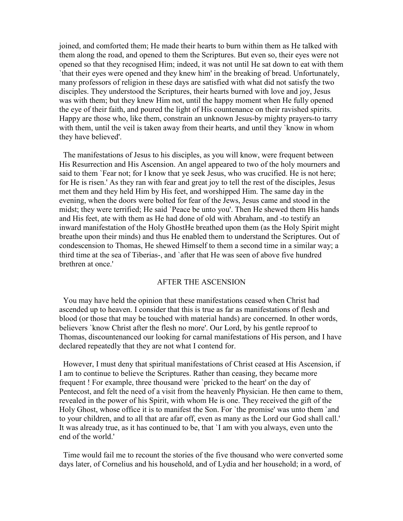joined, and comforted them; He made their hearts to burn within them as He talked with them along the road, and opened to them the Scriptures. But even so, their eyes were not opened so that they recognised Him; indeed, it was not until He sat down to eat with them `that their eyes were opened and they knew him' in the breaking of bread. Unfortunately, many professors of religion in these days are satisfied with what did not satisfy the two disciples. They understood the Scriptures, their hearts burned with love and joy, Jesus was with them; but they knew Him not, until the happy moment when He fully opened the eye of their faith, and poured the light of His countenance on their ravished spirits. Happy are those who, like them, constrain an unknown Jesus-by mighty prayers-to tarry with them, until the veil is taken away from their hearts, and until they `know in whom they have believed'.

The manifestations of Jesus to his disciples, as you will know, were frequent between His Resurrection and His Ascension. An angel appeared to two of the holy mourners and said to them `Fear not; for I know that ye seek Jesus, who was crucified. He is not here; for He is risen.' As they ran with fear and great joy to tell the rest of the disciples, Jesus met them and they held Him by His feet, and worshipped Him. The same day in the evening, when the doors were bolted for fear of the Jews, Jesus came and stood in the midst; they were terrified; He said `Peace be unto you'. Then He shewed them His hands and His feet, ate with them as He had done of old with Abraham, and -to testify an inward manifestation of the Holy GhostHe breathed upon them (as the Holy Spirit might breathe upon their minds) and thus He enabled them to understand the Scriptures. Out of condescension to Thomas, He shewed Himself to them a second time in a similar way; a third time at the sea of Tiberias-, and `after that He was seen of above five hundred brethren at once.'

## AFTER THE ASCENSION

You may have held the opinion that these manifestations ceased when Christ had ascended up to heaven. I consider that this is true as far as manifestations of flesh and blood (or those that may be touched with material hands) are concerned. In other words, believers `know Christ after the flesh no more'. Our Lord, by his gentle reproof to Thomas, discountenanced our looking for carnal manifestations of His person, and I have declared repeatedly that they are not what I contend for.

However, I must deny that spiritual manifestations of Christ ceased at His Ascension, if I am to continue to believe the Scriptures. Rather than ceasing, they became more frequent ! For example, three thousand were `pricked to the heart' on the day of Pentecost, and felt the need of a visit from the heavenly Physician. He then came to them, revealed in the power of his Spirit, with whom He is one. They received the gift of the Holy Ghost, whose office it is to manifest the Son. For `the promise' was unto them `and to your children, and to all that are afar off, even as many as the Lord our God shall call.' It was already true, as it has continued to be, that `I am with you always, even unto the end of the world.'

Time would fail me to recount the stories of the five thousand who were converted some days later, of Cornelius and his household, and of Lydia and her household; in a word, of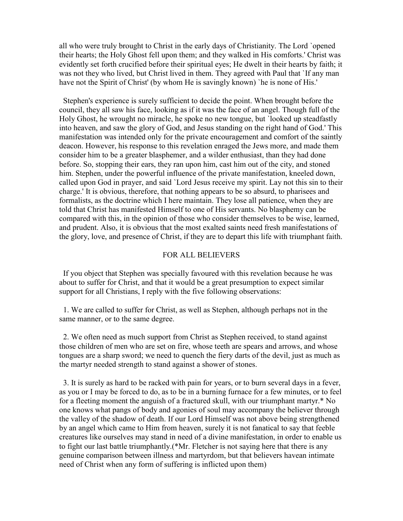all who were truly brought to Christ in the early days of Christianity. The Lord `opened their hearts; the Holy Ghost fell upon them; and they walked in His comforts.' Christ was evidently set forth crucified before their spiritual eyes; He dwelt in their hearts by faith; it was not they who lived, but Christ lived in them. They agreed with Paul that `If any man have not the Spirit of Christ' (by whom He is savingly known) 'he is none of His.'

Stephen's experience is surely sufficient to decide the point. When brought before the council, they all saw his face, looking as if it was the face of an angel. Though full of the Holy Ghost, he wrought no miracle, he spoke no new tongue, but `looked up steadfastly into heaven, and saw the glory of God, and Jesus standing on the right hand of God.' This manifestation was intended only for the private encouragement and comfort of the saintly deacon. However, his response to this revelation enraged the Jews more, and made them consider him to be a greater blasphemer, and a wilder enthusiast, than they had done before. So, stopping their ears, they ran upon him, cast him out of the city, and stoned him. Stephen, under the powerful influence of the private manifestation, kneeled down, called upon God in prayer, and said `Lord Jesus receive my spirit. Lay not this sin to their charge.' It is obvious, therefore, that nothing appears to be so absurd, to pharisees and formalists, as the doctrine which I here maintain. They lose all patience, when they are told that Christ has manifested Himself to one of His servants. No blasphemy can be compared with this, in the opinion of those who consider themselves to be wise, learned, and prudent. Also, it is obvious that the most exalted saints need fresh manifestations of the glory, love, and presence of Christ, if they are to depart this life with triumphant faith.

## FOR ALL BELIEVERS

If you object that Stephen was specially favoured with this revelation because he was about to suffer for Christ, and that it would be a great presumption to expect similar support for all Christians, I reply with the five following observations:

1. We are called to suffer for Christ, as well as Stephen, although perhaps not in the same manner, or to the same degree.

2. We often need as much support from Christ as Stephen received, to stand against those children of men who are set on fire, whose teeth are spears and arrows, and whose tongues are a sharp sword; we need to quench the fiery darts of the devil, just as much as the martyr needed strength to stand against a shower of stones.

3. It is surely as hard to be racked with pain for years, or to burn several days in a fever, as you or I may be forced to do, as to be in a burning furnace for a few minutes, or to feel for a fleeting moment the anguish of a fractured skull, with our triumphant martyr.\* No one knows what pangs of body and agonies of soul may accompany the believer through the valley of the shadow of death. If our Lord Himself was not above being strengthened by an angel which came to Him from heaven, surely it is not fanatical to say that feeble creatures like ourselves may stand in need of a divine manifestation, in order to enable us to fight our last battle triumphantly.(\*Mr. Fletcher is not saying here that there is any genuine comparison between illness and martyrdom, but that believers havean intimate need of Christ when any form of suffering is inflicted upon them)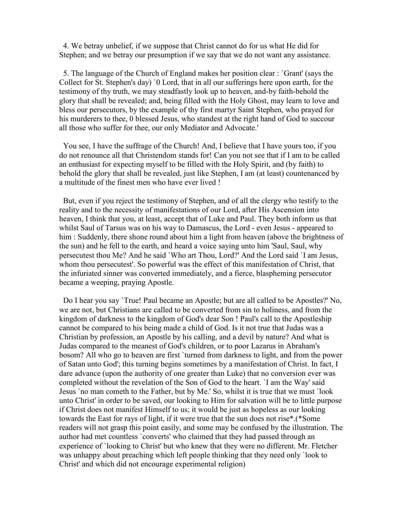4. We betray unbelief, if we suppose that Christ cannot do for us what He did for Stephen; and we betray our presumption if we say that we do not want any assistance.

5. The language of the Church of England makes her position clear : `Grant' (says the Collect for St. Stephen's day) `0 Lord, that in all our sufferings here upon earth, for the testimony of thy truth, we may steadfastly look up to heaven, and-by faith-behold the glory that shall be revealed; and, being filled with the Holy Ghost, may learn to love and bless our persecutors, by the example of thy first martyr Saint Stephen, who prayed for his murderers to thee, 0 blessed Jesus, who standest at the right hand of God to succour all those who suffer for thee, our only Mediator and Advocate.'

You see, I have the suffrage of the Church! And, I believe that I have yours too, if you do not renounce all that Christendom stands for! Can you not see that if I am to be called an enthusiast for expecting myself to be filled with the Holy Spirit, and (by faith) to behold the glory that shall be revealed, just like Stephen, I am (at least) countenanced by a multitude of the finest men who have ever lived !

But, even if you reject the testimony of Stephen, and of all the clergy who testify to the reality and to the necessity of manifestations of our Lord, after His Ascension into heaven, I think that you, at least, accept that of Luke and Paul. They both inform us that whilst Saul of Tarsus was on his way to Damascus, the Lord - even Jesus - appeared to him : Suddenly, there shone round about him a light from heaven (above the brightness of the sun) and he fell to the earth, and heard a voice saying unto him 'Saul, Saul, why persecutest thou Me? And he said `Who art Thou, Lord?' And the Lord said `I am Jesus, whom thou persecutest'. So powerful was the effect of this manifestation of Christ, that the infuriated sinner was converted immediately, and a fierce, blaspheming persecutor became a weeping, praying Apostle.

Do I hear you say `True! Paul became an Apostle; but are all called to be Apostles?' No, we are not, but Christians are called to be converted from sin to holiness, and from the kingdom of darkness to the kingdom of God's dear Son ! Paul's call to the Apostleship cannot be compared to his being made a child of God. Is it not true that Judas was a Christian by profession, an Apostle by his calling, and a devil by nature? And what is Judas compared to the meanest of God's children, or to poor Lazarus in Abraham's bosom? All who go to heaven are first `turned from darkness to light, and from the power of Satan unto God'; this turning begins sometimes by a manifestation of Christ. In fact, I dare advance (upon the authority of one greater than Luke) that no conversion ever was completed without the revelation of the Son of God to the heart. `I am the Way' said Jesus `no man cometh to the Father, but by Me.' So, whilst it is true that we must `look unto Christ' in order to be saved, our looking to Him for salvation will be to little purpose if Christ does not manifest Himself to us; it would be just as hopeless as our looking towards the East for rays of light, if it were true that the sun does not rise\*.(\*Some readers will not grasp this point easily, and some may be confused by the illustration. The author had met countless `converts' who claimed that they had passed through an experience of `looking to Christ' but who knew that they were no different. Mr. Fletcher was unhappy about preaching which left people thinking that they need only `look to Christ' and which did not encourage experimental religion)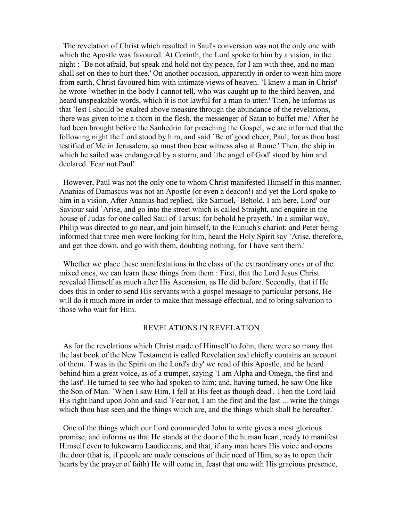The revelation of Christ which resulted in Saul's conversion was not the only one with which the Apostle was favoured. At Corinth, the Lord spoke to him by a vision, in the night : `Be not afraid, but speak and hold not thy peace, for I am with thee, and no man shall set on thee to hurt thee.' On another occasion, apparently in order to wean him more from earth, Christ favoured him with intimate views of heaven. `I knew a man in Christ' he wrote `whether in the body I cannot tell, who was caught up to the third heaven, and heard unspeakable words, which it is not lawful for a man to utter.' Then, he informs us that `lest I should be exalted above measure through the abundance of the revelations, there was given to me a thorn in the flesh, the messenger of Satan to buffet me.' After he had been brought before the Sanhedrin for preaching the Gospel, we are informed that the following night the Lord stood by him, and said 'Be of good cheer, Paul, for as thou hast testified of Me in Jerusalem, so must thou bear witness also at Rome.' Then, the ship in which he sailed was endangered by a storm, and 'the angel of God' stood by him and declared `Fear not Paul'.

However, Paul was not the only one to whom Christ manifested Himself in this manner. Ananias of Damascus was not an Apostle (or even a deacon!) and yet the Lord spoke to him in a vision. After Ananias had replied, like Samuel, `Behold, I am here, Lord' our Saviour said `Arise, and go into the street which is called Straight, and enquire in the house of Judas for one called Saul of Tarsus; for behold he prayeth.' In a similar way, Philip was directed to go near, and join himself, to the Eunuch's chariot; and Peter being informed that three men were looking for him, heard the Holy Spirit say `Arise, therefore, and get thee down, and go with them, doubting nothing, for I have sent them.'

Whether we place these manifestations in the class of the extraordinary ones or of the mixed ones, we can learn these things from them : First, that the Lord Jesus Christ revealed Himself as much after His Ascension, as He did before. Secondly, that if He does this in order to send His servants with a gospel message to particular persons, He will do it much more in order to make that message effectual, and to bring salvation to those who wait for Him.

#### REVELATIONS IN REVELATION

As for the revelations which Christ made of Himself to John, there were so many that the last book of the New Testament is called Revelation and chiefly contains an account of them. `I was in the Spirit on the Lord's day' we read of this Apostle, and he heard behind him a great voice, as of a trumpet, saying `I am Alpha and Omega, the first and the last'. He turned to see who had spoken to him; and, having turned, he saw One like the Son of Man. `When I saw Him, I fell at His feet as though dead'. Then the Lord laid His right hand upon John and said `Fear not, I am the first and the last ... write the things which thou hast seen and the things which are, and the things which shall be hereafter.'

One of the things which our Lord commanded John to write gives a most glorious promise, and informs us that He stands at the door of the human heart, ready to manifest Himself even to lukewarm Laodiceans; and that, if any man hears His voice and opens the door (that is, if people are made conscious of their need of Him, so as to open their hearts by the prayer of faith) He will come in, feast that one with His gracious presence,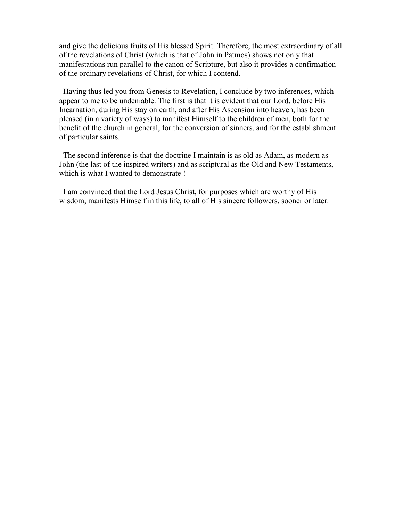and give the delicious fruits of His blessed Spirit. Therefore, the most extraordinary of all of the revelations of Christ (which is that of John in Patmos) shows not only that manifestations run parallel to the canon of Scripture, but also it provides a confirmation of the ordinary revelations of Christ, for which I contend.

Having thus led you from Genesis to Revelation, I conclude by two inferences, which appear to me to be undeniable. The first is that it is evident that our Lord, before His Incarnation, during His stay on earth, and after His Ascension into heaven, has been pleased (in a variety of ways) to manifest Himself to the children of men, both for the benefit of the church in general, for the conversion of sinners, and for the establishment of particular saints.

The second inference is that the doctrine I maintain is as old as Adam, as modern as John (the last of the inspired writers) and as scriptural as the Old and New Testaments, which is what I wanted to demonstrate !

I am convinced that the Lord Jesus Christ, for purposes which are worthy of His wisdom, manifests Himself in this life, to all of His sincere followers, sooner or later.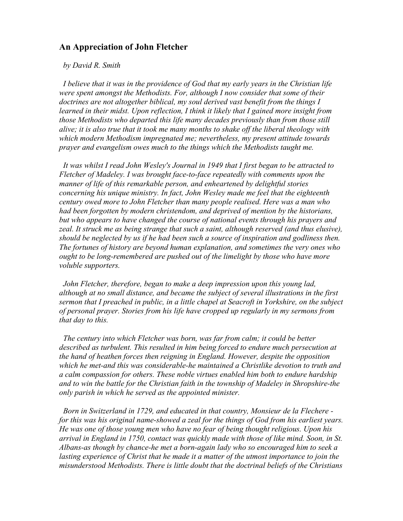# **An Appreciation of John Fletcher**

### *by David R. Smith*

*I believe that it was in the providence of God that my early years in the Christian life were spent amongst the Methodists. For, although I now consider that some of their doctrines are not altogether biblical, my soul derived vast benefit from the things I*  learned in their midst. Upon reflection, I think it likely that I gained more insight from *those Methodists who departed this life many decades previously than from those still alive; it is also true that it took me many months to shake off the liberal theology with which modern Methodism impregnated me; nevertheless, my present attitude towards prayer and evangelism owes much to the things which the Methodists taught me.*

*It was whilst I read John Wesley's Journal in 1949 that I first began to be attracted to Fletcher of Madeley. I was brought face-to-face repeatedly with comments upon the manner of life of this remarkable person, and enheartened by delightful stories concerning his unique ministry. In fact, John Wesley made me feel that the eighteenth century owed more to John Fletcher than many people realised. Here was a man who had been forgotten by modern christendom, and deprived of mention by the historians, but who appears to have changed the course of national events through his prayers and*  zeal. It struck me as being strange that such a saint, although reserved (and thus elusive), *should be neglected by us if he had been such a source of inspiration and godliness then. The fortunes of history are beyond human explanation, and sometimes the very ones who ought to be long-remembered are pushed out of the limelight by those who have more voluble supporters.*

*John Fletcher, therefore, began to make a deep impression upon this young lad, although at no small distance, and became the subject of several illustrations in the first sermon that I preached in public, in a little chapel at Seacroft in Yorkshire, on the subject of personal prayer. Stories from his life have cropped up regularly in my sermons from that day to this.*

*The century into which Fletcher was born, was far from calm; it could be better described as turbulent. This resulted in him being forced to endure much persecution at the hand of heathen forces then reigning in England. However, despite the opposition which he met-and this was considerable-he maintained a Christlike devotion to truth and a calm compassion for others. These noble virtues enabled him both to endure hardship and to win the battle for the Christian faith in the township of Madeley in Shropshire-the only parish in which he served as the appointed minister.*

*Born in Switzerland in 1729, and educated in that country, Monsieur de la Flechere for this was his original name-showed a zeal for the things of God from his earliest years. He was one of those young men who have no fear of being thought religious. Upon his arrival in England in 1750, contact was quickly made with those of like mind. Soon, in St. Albans-as though by chance-he met a born-again lady who so encouraged him to seek a*  lasting experience of Christ that he made it a matter of the utmost importance to join the *misunderstood Methodists. There is little doubt that the doctrinal beliefs of the Christians*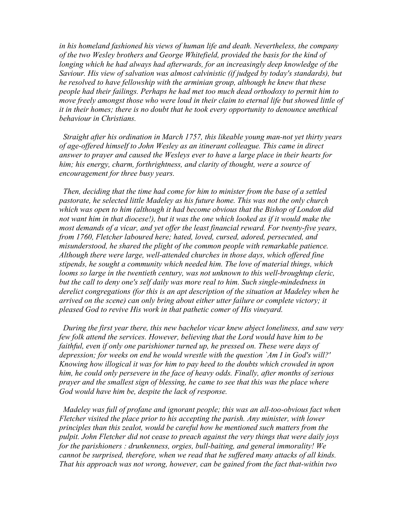*in his homeland fashioned his views of human life and death. Nevertheless, the company of the two Wesley brothers and George Whitefield, provided the basis for the kind of longing which he had always had afterwards, for an increasingly deep knowledge of the Saviour. His view of salvation was almost calvinistic (if judged by today's standards), but he resolved to have fellowship with the arminian group, although he knew that these people had their failings. Perhaps he had met too much dead orthodoxy to permit him to move freely amongst those who were loud in their claim to eternal life but showed little of it in their homes; there is no doubt that he took every opportunity to denounce unethical behaviour in Christians.*

*Straight after his ordination in March 1757, this likeable young man-not yet thirty years of age-offered himself to John Wesley as an itinerant colleague. This came in direct answer to prayer and caused the Wesleys ever to have a large place in their hearts for him; his energy, charm, forthrightness, and clarity of thought, were a source of encouragement for three busy years.*

*Then, deciding that the time had come for him to minister from the base of a settled pastorate, he selected little Madeley as his future home. This was not the only church which was open to him (although it had become obvious that the Bishop of London did not want him in that diocese!), but it was the one which looked as if it would make the most demands of a vicar, and yet offer the least financial reward. For twenty-five years, from 1760, Fletcher laboured here; hated, loved, cursed, adored, persecuted, and misunderstood, he shared the plight of the common people with remarkable patience. Although there were large, well-attended churches in those days, which offered fine stipends, he sought a community which needed him. The love of material things, which looms so large in the twentieth century, was not unknown to this well-broughtup cleric, but the call to deny one's self daily was more real to him. Such single-mindedness in derelict congregations (for this is an apt description of the situation at Madeley when he arrived on the scene) can only bring about either utter failure or complete victory; it pleased God to revive His work in that pathetic comer of His vineyard.*

*During the first year there, this new bachelor vicar knew abject loneliness, and saw very few folk attend the services. However, believing that the Lord would have him to be faithful, even if only one parishioner turned up, he pressed on. These were days of depression; for weeks on end he would wrestle with the question `Am I in God's will?' Knowing how illogical it was for him to pay heed to the doubts which crowded in upon him, he could only persevere in the face of heavy odds. Finally, after months of serious prayer and the smallest sign of blessing, he came to see that this was the place where God would have him be, despite the lack of response.*

*Madeley was full of profane and ignorant people; this was an all-too-obvious fact when Fletcher visited the place prior to his accepting the parish. Any minister, with lower principles than this zealot, would be careful how he mentioned such matters from the pulpit. John Fletcher did not cease to preach against the very things that were daily joys for the parishioners : drunkenness, orgies, bull-baiting, and general immorality! We cannot be surprised, therefore, when we read that he suffered many attacks of all kinds. That his approach was not wrong, however, can be gained from the fact that-within two*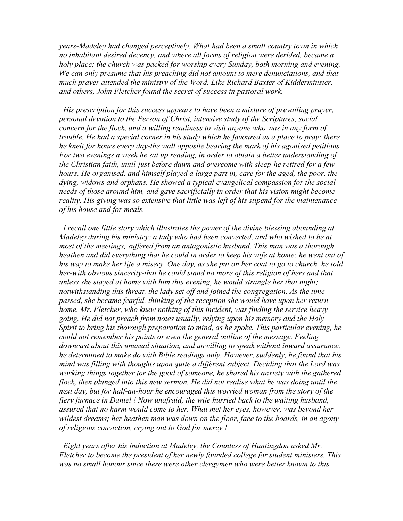*years-Madeley had changed perceptively. What had been a small country town in which no inhabitant desired decency, and where all forms of religion were derided, became a holy place; the church was packed for worship every Sunday, both morning and evening. We can only presume that his preaching did not amount to mere denunciations, and that much prayer attended the ministry of the Word. Like Richard Baxter of Kidderminster, and others, John Fletcher found the secret of success in pastoral work.*

*His prescription for this success appears to have been a mixture of prevailing prayer, personal devotion to the Person of Christ, intensive study of the Scriptures, social concern for the flock, and a willing readiness to visit anyone who was in any form of trouble. He had a special corner in his study which he favoured as a place to pray; there he knelt for hours every day-the wall opposite bearing the mark of his agonised petitions. For two evenings a week he sat up reading, in order to obtain a better understanding of the Christian faith, until-just before dawn and overcome with sleep-he retired for a few hours. He organised, and himself played a large part in, care for the aged, the poor, the dying, widows and orphans. He showed a typical evangelical compassion for the social needs of those around him, and gave sacrificially in order that his vision might become reality. His giving was so extensive that little was left of his stipend for the maintenance of his house and for meals.*

*I recall one little story which illustrates the power of the divine blessing abounding at Madeley during his ministry: a lady who had been converted, and who wished to be at most of the meetings, suffered from an antagonistic husband. This man was a thorough heathen and did everything that he could in order to keep his wife at home; he went out of his way to make her life a misery. One day, as she put on her coat to go to church, he told her-with obvious sincerity-that he could stand no more of this religion of hers and that unless she stayed at home with him this evening, he would strangle her that night; notwithstanding this threat, the lady set off and joined the congregation. As the time passed, she became fearful, thinking of the reception she would have upon her return home. Mr. Fletcher, who knew nothing of this incident, was finding the service heavy going. He did not preach from notes usually, relying upon his memory and the Holy Spirit to bring his thorough preparation to mind, as he spoke. This particular evening, he could not remember his points or even the general outline of the message. Feeling downcast about this unusual situation, and unwilling to speak without inward assurance, he determined to make do with Bible readings only. However, suddenly, he found that his mind was filling with thoughts upon quite a different subject. Deciding that the Lord was working things together for the good of someone, he shared his anxiety with the gathered flock, then plunged into this new sermon. He did not realise what he was doing until the next day, but for half-an-hour he encouraged this worried woman from the story of the fiery furnace in Daniel ! Now unafraid, the wife hurried back to the waiting husband, assured that no harm would come to her. What met her eyes, however, was beyond her wildest dreams; her heathen man was down on the floor, face to the boards, in an agony of religious conviction, crying out to God for mercy !*

*Eight years after his induction at Madeley, the Countess of Huntingdon asked Mr. Fletcher to become the president of her newly founded college for student ministers. This was no small honour since there were other clergymen who were better known to this*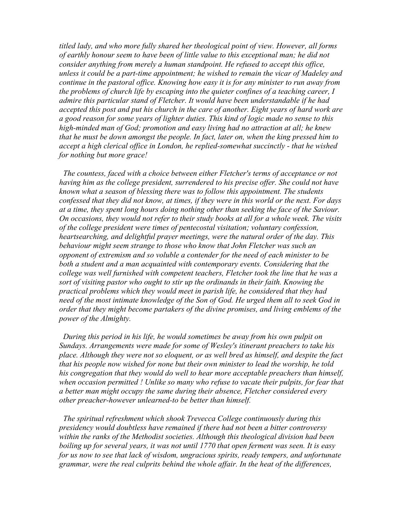*titled lady, and who more fully shared her theological point of view. However, all forms of earthly honour seem to have been of little value to this exceptional man; he did not consider anything from merely a human standpoint. He refused to accept this office, unless it could be a part-time appointment; he wished to remain the vicar of Madeley and continue in the pastoral office. Knowing how easy it is for any minister to run away from the problems of church life by escaping into the quieter confines of a teaching career, I admire this particular stand of Fletcher. It would have been understandable if he had accepted this post and put his church in the care of another. Eight years of hard work are a good reason for some years of lighter duties. This kind of logic made no sense to this high-minded man of God; promotion and easy living had no attraction at all; he knew that he must be down amongst the people. In fact, later on, when the king pressed him to accept a high clerical office in London, he replied-somewhat succinctly - that he wished for nothing but more grace!*

*The countess, faced with a choice between either Fletcher's terms of acceptance or not having him as the college president, surrendered to his precise offer. She could not have known what a season of blessing there was to follow this appointment. The students confessed that they did not know, at times, if they were in this world or the next. For days at a time, they spent long hours doing nothing other than seeking the face of the Saviour. On occasions, they would not refer to their study books at all for a whole week. The visits of the college president were times of pentecostal visitation; voluntary confession, heartsearching, and delightful prayer meetings, were the natural order of the day. This behaviour might seem strange to those who know that John Fletcher was such an opponent of extremism and so voluble a contender for the need of each minister to be*  both a student and a man acquainted with contemporary events. Considering that the *college was well furnished with competent teachers, Fletcher took the line that he was a sort of visiting pastor who ought to stir up the ordinands in their faith. Knowing the practical problems which they would meet in parish life, he considered that they had need of the most intimate knowledge of the Son of God. He urged them all to seek God in order that they might become partakers of the divine promises, and living emblems of the power of the Almighty.*

*During this period in his life, he would sometimes be away from his own pulpit on Sundays. Arrangements were made for some of Wesley's itinerant preachers to take his place. Although they were not so eloquent, or as well bred as himself, and despite the fact that his people now wished for none but their own minister to lead the worship, he told his congregation that they would do well to hear more acceptable preachers than himself, when occasion permitted ! Unlike so many who refuse to vacate their pulpits, for fear that a better man might occupy the same during their absence, Fletcher considered every other preacher-however unlearned-to be better than himself.*

*The spiritual refreshment which shook Trevecca College continuously during this presidency would doubtless have remained if there had not been a bitter controversy within the ranks of the Methodist societies. Although this theological division had been boiling up for several years, it was not until 1770 that open ferment was seen. It is easy for us now to see that lack of wisdom, ungracious spirits, ready tempers, and unfortunate grammar, were the real culprits behind the whole affair. In the heat of the differences,*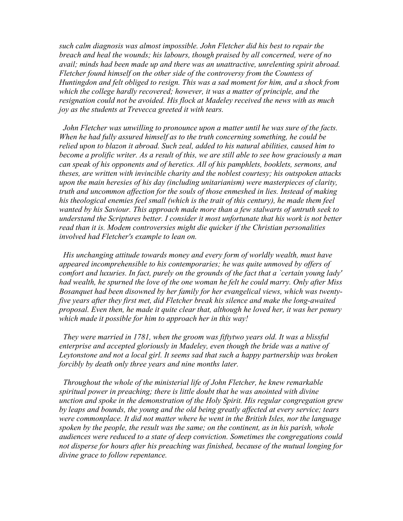*such calm diagnosis was almost impossible. John Fletcher did his best to repair the breach and heal the wounds; his labours, though praised by all concerned, were of no avail; minds had been made up and there was an unattractive, unrelenting spirit abroad. Fletcher found himself on the other side of the controversy from the Countess of Huntingdon and felt obliged to resign. This was a sad moment for him, and a shock from which the college hardly recovered; however, it was a matter of principle, and the resignation could not be avoided. His flock at Madeley received the news with as much joy as the students at Trevecca greeted it with tears.*

*John Fletcher was unwilling to pronounce upon a matter until he was sure of the facts. When he had fully assured himself as to the truth concerning something, he could be relied upon to blazon it abroad. Such zeal, added to his natural abilities, caused him to become a prolific writer. As a result of this, we are still able to see how graciously a man can speak of his opponents and of heretics. All of his pamphlets, booklets, sermons, and theses, are written with invincible charity and the noblest courtesy; his outspoken attacks upon the main heresies of his day (including unitarianism) were masterpieces of clarity, truth and uncommon affection for the souls of those enmeshed in lies. Instead of making his theological enemies feel small (which is the trait of this century), he made them feel wanted by his Saviour. This approach made more than a few stalwarts of untruth seek to understand the Scriptures better. I consider it most unfortunate that his work is not better read than it is. Modem controversies might die quicker if the Christian personalities involved had Fletcher's example to lean on.*

*His unchanging attitude towards money and every form of worldly wealth, must have appeared incomprehensible to his contemporaries; he was quite unmoved by offers of comfort and luxuries. In fact, purely on the grounds of the fact that a `certain young lady' had wealth, he spurned the love of the one woman he felt he could marry. Only after Miss Bosanquet had been disowned by her family for her evangelical views, which was twentyfive years after they first met, did Fletcher break his silence and make the long-awaited proposal. Even then, he made it quite clear that, although he loved her, it was her penury which made it possible for him to approach her in this way!*

*They were married in 1781, when the groom was fiftytwo years old. It was a blissful enterprise and accepted gloriously in Madeley, even though the bride was a native of Leytonstone and not a local girl. It seems sad that such a happy partnership was broken forcibly by death only three years and nine months later.*

*Throughout the whole of the ministerial life of John Fletcher, he knew remarkable spiritual power in preaching; there is little doubt that he was anointed with divine unction and spoke in the demonstration of the Holy Spirit. His regular congregation grew by leaps and bounds, the young and the old being greatly affected at every service; tears were commonplace. It did not matter where he went in the British Isles, nor the language spoken by the people, the result was the same; on the continent, as in his parish, whole audiences were reduced to a state of deep conviction. Sometimes the congregations could not disperse for hours after his preaching was finished, because of the mutual longing for divine grace to follow repentance.*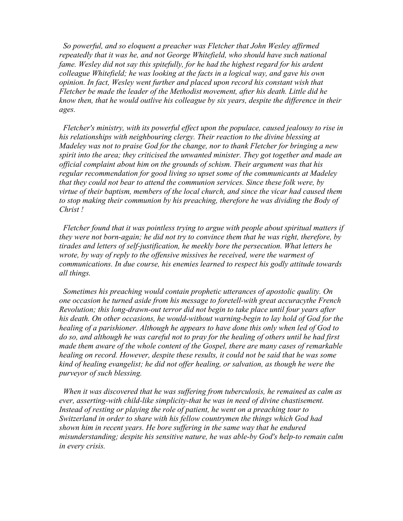*So powerful, and so eloquent a preacher was Fletcher that John Wesley affirmed*  repeatedly that it was he, and not George Whitefield, who should have such national *fame. Wesley did not say this spitefully, for he had the highest regard for his ardent colleague Whitefield; he was looking at the facts in a logical way, and gave his own opinion. In fact, Wesley went further and placed upon record his constant wish that Fletcher be made the leader of the Methodist movement, after his death. Little did he know then, that he would outlive his colleague by six years, despite the difference in their ages.*

*Fletcher's ministry, with its powerful effect upon the populace, caused jealousy to rise in his relationships with neighbouring clergy. Their reaction to the divine blessing at Madeley was not to praise God for the change, nor to thank Fletcher for bringing a new spirit into the area; they criticised the unwanted minister. They got together and made an official complaint about him on the grounds of schism. Their argument was that his regular recommendation for good living so upset some of the communicants at Madeley that they could not bear to attend the communion services. Since these folk were, by virtue of their baptism, members of the local church, and since the vicar had caused them to stop making their communion by his preaching, therefore he was dividing the Body of Christ !*

*Fletcher found that it was pointless trying to argue with people about spiritual matters if they were not born-again; he did not try to convince them that he was right, therefore, by tirades and letters of self-justification, he meekly bore the persecution. What letters he wrote, by way of reply to the offensive missives he received, were the warmest of communications. In due course, his enemies learned to respect his godly attitude towards all things.*

*Sometimes his preaching would contain prophetic utterances of apostolic quality. On one occasion he turned aside from his message to foretell-with great accuracythe French Revolution; this long-drawn-out terror did not begin to take place until four years after his death. On other occasions, he would-without warning-begin to lay hold of God for the healing of a parishioner. Although he appears to have done this only when led of God to do so, and although he was careful not to pray for the healing of others until he had first made them aware of the whole content of the Gospel, there are many cases of remarkable healing on record. However, despite these results, it could not be said that he was some kind of healing evangelist; he did not offer healing, or salvation, as though he were the purveyor of such blessing.*

*When it was discovered that he was suffering from tuberculosis, he remained as calm as ever, asserting-with child-like simplicity-that he was in need of divine chastisement.*  Instead of resting or playing the role of patient, he went on a preaching tour to *Switzerland in order to share with his fellow countrymen the things which God had shown him in recent years. He bore suffering in the same way that he endured misunderstanding; despite his sensitive nature, he was able-by God's help-to remain calm in every crisis.*